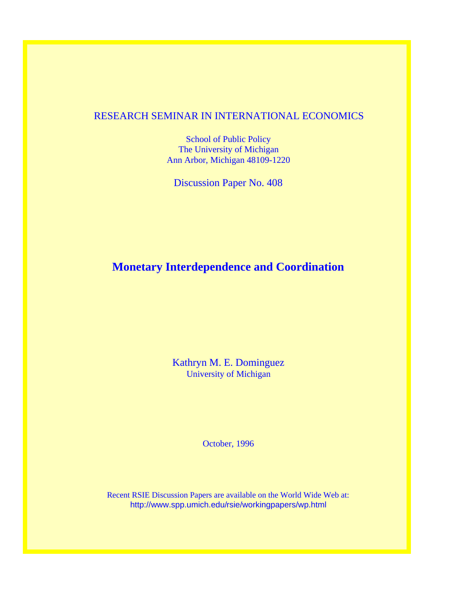## RESEARCH SEMINAR IN INTERNATIONAL ECONOMICS

School of Public Policy The University of Michigan Ann Arbor, Michigan 48109-1220

Discussion Paper No. 408

## **Monetary Interdependence and Coordination**

Kathryn M. E. Dominguez University of Michigan

October, 1996

Recent RSIE Discussion Papers are available on the World Wide Web at: http://www.spp.umich.edu/rsie/workingpapers/wp.html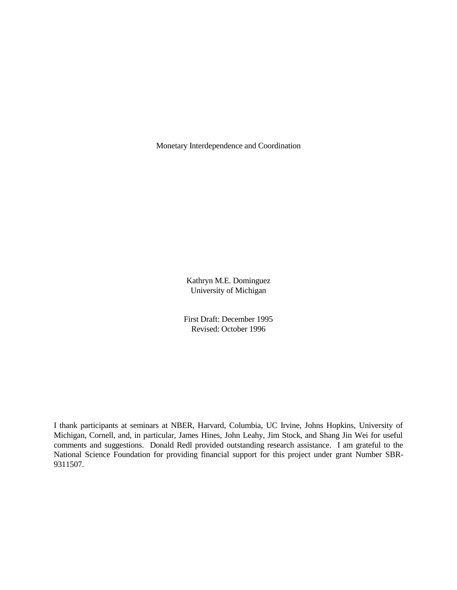Monetary Interdependence and Coordination

Kathryn M.E. Dominguez University of Michigan

First Draft: December 1995 Revised: October 1996

I thank participants at seminars at NBER, Harvard, Columbia, UC Irvine, Johns Hopkins, University of Michigan, Cornell, and, in particular, James Hines, John Leahy, Jim Stock, and Shang Jin Wei for useful comments and suggestions. Donald Redl provided outstanding research assistance. I am grateful to the National Science Foundation for providing financial support for this project under grant Number SBR-9311507.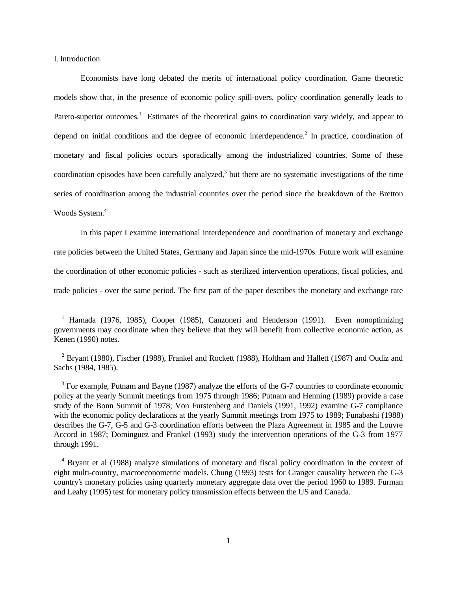I. Introduction

 $\overline{a}$ 

Economists have long debated the merits of international policy coordination. Game theoretic models show that, in the presence of economic policy spill-overs, policy coordination generally leads to Pareto-superior outcomes.<sup>1</sup> Estimates of the theoretical gains to coordination vary widely, and appear to depend on initial conditions and the degree of economic interdependence.<sup>2</sup> In practice, coordination of monetary and fiscal policies occurs sporadically among the industrialized countries. Some of these coordination episodes have been carefully analyzed, $3$  but there are no systematic investigations of the time series of coordination among the industrial countries over the period since the breakdown of the Bretton Woods System.<sup>4</sup>

In this paper I examine international interdependence and coordination of monetary and exchange rate policies between the United States, Germany and Japan since the mid-1970s. Future work will examine the coordination of other economic policies - such as sterilized intervention operations, fiscal policies, and trade policies - over the same period. The first part of the paper describes the monetary and exchange rate

<sup>3</sup> For example, Putnam and Bayne (1987) analyze the efforts of the G-7 countries to coordinate economic policy at the yearly Summit meetings from 1975 through 1986; Putnam and Henning (1989) provide a case study of the Bonn Summit of 1978; Von Furstenberg and Daniels (1991, 1992) examine G-7 compliance with the economic policy declarations at the yearly Summit meetings from 1975 to 1989; Funabashi (1988) describes the G-7, G-5 and G-3 coordination efforts between the Plaza Agreement in 1985 and the Louvre Accord in 1987; Dominguez and Frankel (1993) study the intervention operations of the G-3 from 1977 through 1991.

<sup>&</sup>lt;sup>1</sup> Hamada (1976, 1985), Cooper (1985), Canzoneri and Henderson (1991). Even nonoptimizing governments may coordinate when they believe that they will benefit from collective economic action, as Kenen (1990) notes.

<sup>&</sup>lt;sup>2</sup> Bryant (1980), Fischer (1988), Frankel and Rockett (1988), Holtham and Hallett (1987) and Oudiz and Sachs (1984, 1985).

<sup>4</sup> Bryant et al (1988) analyze simulations of monetary and fiscal policy coordination in the context of eight multi-country, macroeconometric models. Chung (1993) tests for Granger causality between the G-3 country's monetary policies using quarterly monetary aggregate data over the period 1960 to 1989. Furman and Leahy (1995) test for monetary policy transmission effects between the US and Canada.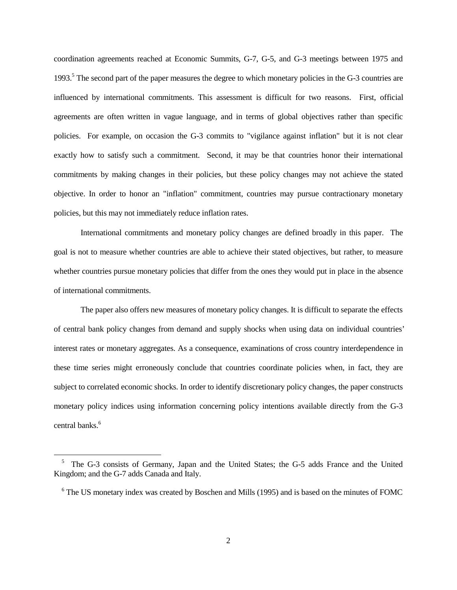coordination agreements reached at Economic Summits, G-7, G-5, and G-3 meetings between 1975 and 1993.<sup>5</sup> The second part of the paper measures the degree to which monetary policies in the G-3 countries are influenced by international commitments. This assessment is difficult for two reasons. First, official agreements are often written in vague language, and in terms of global objectives rather than specific policies. For example, on occasion the G-3 commits to "vigilance against inflation" but it is not clear exactly how to satisfy such a commitment. Second, it may be that countries honor their international commitments by making changes in their policies, but these policy changes may not achieve the stated objective. In order to honor an "inflation" commitment, countries may pursue contractionary monetary policies, but this may not immediately reduce inflation rates.

International commitments and monetary policy changes are defined broadly in this paper. The goal is not to measure whether countries are able to achieve their stated objectives, but rather, to measure whether countries pursue monetary policies that differ from the ones they would put in place in the absence of international commitments.

 The paper also offers new measures of monetary policy changes. It is difficult to separate the effects of central bank policy changes from demand and supply shocks when using data on individual countries' interest rates or monetary aggregates. As a consequence, examinations of cross country interdependence in these time series might erroneously conclude that countries coordinate policies when, in fact, they are subject to correlated economic shocks. In order to identify discretionary policy changes, the paper constructs monetary policy indices using information concerning policy intentions available directly from the G-3 central banks.<sup>6</sup>

<sup>5</sup> The G-3 consists of Germany, Japan and the United States; the G-5 adds France and the United Kingdom; and the G-7 adds Canada and Italy.

<sup>&</sup>lt;sup>6</sup> The US monetary index was created by Boschen and Mills (1995) and is based on the minutes of FOMC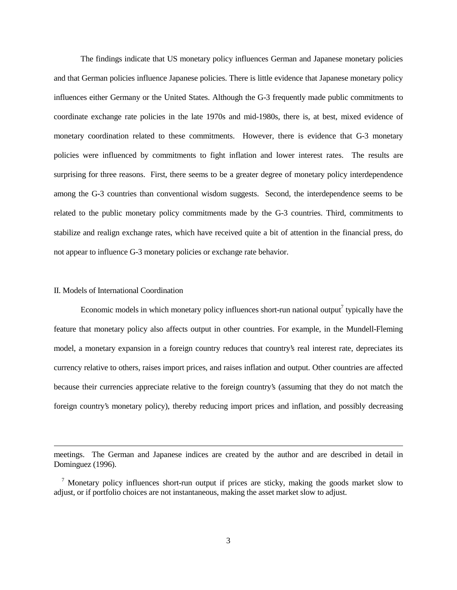The findings indicate that US monetary policy influences German and Japanese monetary policies and that German policies influence Japanese policies. There is little evidence that Japanese monetary policy influences either Germany or the United States. Although the G-3 frequently made public commitments to coordinate exchange rate policies in the late 1970s and mid-1980s, there is, at best, mixed evidence of monetary coordination related to these commitments. However, there is evidence that G-3 monetary policies were influenced by commitments to fight inflation and lower interest rates. The results are surprising for three reasons. First, there seems to be a greater degree of monetary policy interdependence among the G-3 countries than conventional wisdom suggests. Second, the interdependence seems to be related to the public monetary policy commitments made by the G-3 countries. Third, commitments to stabilize and realign exchange rates, which have received quite a bit of attention in the financial press, do not appear to influence G-3 monetary policies or exchange rate behavior.

#### II. Models of International Coordination

 $\overline{a}$ 

Economic models in which monetary policy influences short-run national output<sup>7</sup> typically have the feature that monetary policy also affects output in other countries. For example, in the Mundell-Fleming model, a monetary expansion in a foreign country reduces that country's real interest rate, depreciates its currency relative to others, raises import prices, and raises inflation and output. Other countries are affected because their currencies appreciate relative to the foreign country's (assuming that they do not match the foreign country's monetary policy), thereby reducing import prices and inflation, and possibly decreasing

meetings. The German and Japanese indices are created by the author and are described in detail in Dominguez (1996).

<sup>&</sup>lt;sup>7</sup> Monetary policy influences short-run output if prices are sticky, making the goods market slow to adjust, or if portfolio choices are not instantaneous, making the asset market slow to adjust.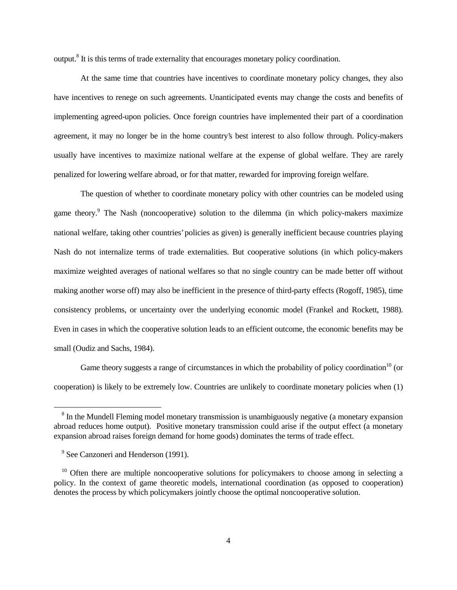output.<sup>8</sup> It is this terms of trade externality that encourages monetary policy coordination.

At the same time that countries have incentives to coordinate monetary policy changes, they also have incentives to renege on such agreements. Unanticipated events may change the costs and benefits of implementing agreed-upon policies. Once foreign countries have implemented their part of a coordination agreement, it may no longer be in the home country's best interest to also follow through. Policy-makers usually have incentives to maximize national welfare at the expense of global welfare. They are rarely penalized for lowering welfare abroad, or for that matter, rewarded for improving foreign welfare.

The question of whether to coordinate monetary policy with other countries can be modeled using game theory.<sup>9</sup> The Nash (noncooperative) solution to the dilemma (in which policy-makers maximize national welfare, taking other countries' policies as given) is generally inefficient because countries playing Nash do not internalize terms of trade externalities. But cooperative solutions (in which policy-makers maximize weighted averages of national welfares so that no single country can be made better off without making another worse off) may also be inefficient in the presence of third-party effects (Rogoff, 1985), time consistency problems, or uncertainty over the underlying economic model (Frankel and Rockett, 1988). Even in cases in which the cooperative solution leads to an efficient outcome, the economic benefits may be small (Oudiz and Sachs, 1984).

Game theory suggests a range of circumstances in which the probability of policy coordination<sup>10</sup> (or cooperation) is likely to be extremely low. Countries are unlikely to coordinate monetary policies when (1)

<sup>&</sup>lt;sup>8</sup> In the Mundell Fleming model monetary transmission is unambiguously negative (a monetary expansion abroad reduces home output). Positive monetary transmission could arise if the output effect (a monetary expansion abroad raises foreign demand for home goods) dominates the terms of trade effect.

<sup>&</sup>lt;sup>9</sup> See Canzoneri and Henderson (1991).

 $10$  Often there are multiple noncooperative solutions for policymakers to choose among in selecting a policy. In the context of game theoretic models, international coordination (as opposed to cooperation) denotes the process by which policymakers jointly choose the optimal noncooperative solution.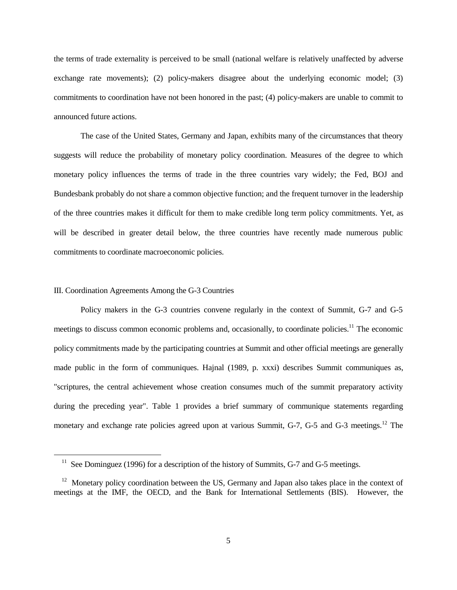the terms of trade externality is perceived to be small (national welfare is relatively unaffected by adverse exchange rate movements); (2) policy-makers disagree about the underlying economic model; (3) commitments to coordination have not been honored in the past; (4) policy-makers are unable to commit to announced future actions.

The case of the United States, Germany and Japan, exhibits many of the circumstances that theory suggests will reduce the probability of monetary policy coordination. Measures of the degree to which monetary policy influences the terms of trade in the three countries vary widely; the Fed, BOJ and Bundesbank probably do not share a common objective function; and the frequent turnover in the leadership of the three countries makes it difficult for them to make credible long term policy commitments. Yet, as will be described in greater detail below, the three countries have recently made numerous public commitments to coordinate macroeconomic policies.

#### III. Coordination Agreements Among the G-3 Countries

 $\overline{a}$ 

Policy makers in the G-3 countries convene regularly in the context of Summit, G-7 and G-5 meetings to discuss common economic problems and, occasionally, to coordinate policies.<sup>11</sup> The economic policy commitments made by the participating countries at Summit and other official meetings are generally made public in the form of communiques. Hajnal (1989, p. xxxi) describes Summit communiques as, "scriptures, the central achievement whose creation consumes much of the summit preparatory activity during the preceding year". Table 1 provides a brief summary of communique statements regarding monetary and exchange rate policies agreed upon at various Summit, G-7, G-5 and G-3 meetings.<sup>12</sup> The

<sup>&</sup>lt;sup>11</sup> See Dominguez (1996) for a description of the history of Summits, G-7 and G-5 meetings.

<sup>&</sup>lt;sup>12</sup> Monetary policy coordination between the US, Germany and Japan also takes place in the context of meetings at the IMF, the OECD, and the Bank for International Settlements (BIS). However, the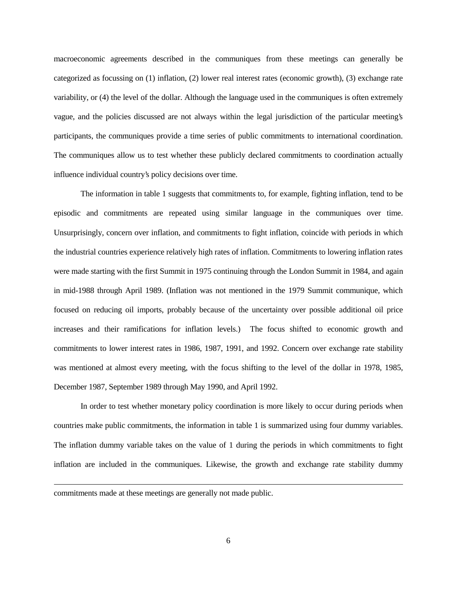macroeconomic agreements described in the communiques from these meetings can generally be categorized as focussing on (1) inflation, (2) lower real interest rates (economic growth), (3) exchange rate variability, or (4) the level of the dollar. Although the language used in the communiques is often extremely vague, and the policies discussed are not always within the legal jurisdiction of the particular meeting's participants, the communiques provide a time series of public commitments to international coordination. The communiques allow us to test whether these publicly declared commitments to coordination actually influence individual country's policy decisions over time.

The information in table 1 suggests that commitments to, for example, fighting inflation, tend to be episodic and commitments are repeated using similar language in the communiques over time. Unsurprisingly, concern over inflation, and commitments to fight inflation, coincide with periods in which the industrial countries experience relatively high rates of inflation. Commitments to lowering inflation rates were made starting with the first Summit in 1975 continuing through the London Summit in 1984, and again in mid-1988 through April 1989. (Inflation was not mentioned in the 1979 Summit communique, which focused on reducing oil imports, probably because of the uncertainty over possible additional oil price increases and their ramifications for inflation levels.) The focus shifted to economic growth and commitments to lower interest rates in 1986, 1987, 1991, and 1992. Concern over exchange rate stability was mentioned at almost every meeting, with the focus shifting to the level of the dollar in 1978, 1985, December 1987, September 1989 through May 1990, and April 1992.

In order to test whether monetary policy coordination is more likely to occur during periods when countries make public commitments, the information in table 1 is summarized using four dummy variables. The inflation dummy variable takes on the value of 1 during the periods in which commitments to fight inflation are included in the communiques. Likewise, the growth and exchange rate stability dummy

commitments made at these meetings are generally not made public.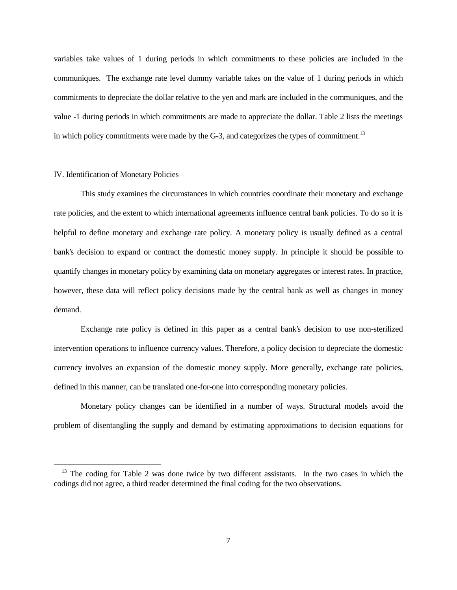variables take values of 1 during periods in which commitments to these policies are included in the communiques. The exchange rate level dummy variable takes on the value of 1 during periods in which commitments to depreciate the dollar relative to the yen and mark are included in the communiques, and the value -1 during periods in which commitments are made to appreciate the dollar. Table 2 lists the meetings in which policy commitments were made by the  $G-3$ , and categorizes the types of commitment.<sup>13</sup>

#### IV. Identification of Monetary Policies

 $\overline{a}$ 

This study examines the circumstances in which countries coordinate their monetary and exchange rate policies, and the extent to which international agreements influence central bank policies. To do so it is helpful to define monetary and exchange rate policy. A monetary policy is usually defined as a central bank's decision to expand or contract the domestic money supply. In principle it should be possible to quantify changes in monetary policy by examining data on monetary aggregates or interest rates. In practice, however, these data will reflect policy decisions made by the central bank as well as changes in money demand.

Exchange rate policy is defined in this paper as a central bank's decision to use non-sterilized intervention operations to influence currency values. Therefore, a policy decision to depreciate the domestic currency involves an expansion of the domestic money supply. More generally, exchange rate policies, defined in this manner, can be translated one-for-one into corresponding monetary policies.

Monetary policy changes can be identified in a number of ways. Structural models avoid the problem of disentangling the supply and demand by estimating approximations to decision equations for

 $13$  The coding for Table 2 was done twice by two different assistants. In the two cases in which the codings did not agree, a third reader determined the final coding for the two observations.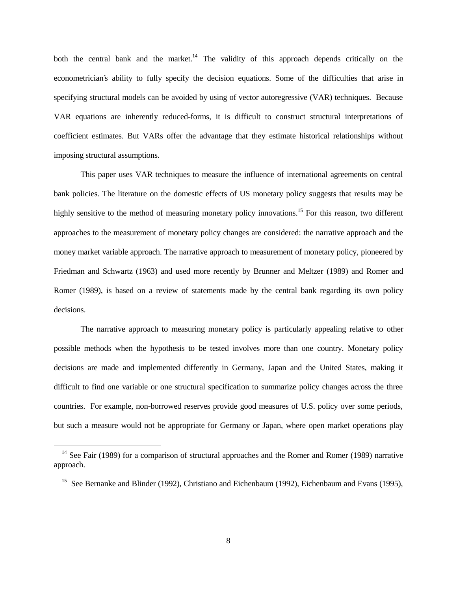both the central bank and the market.<sup>14</sup> The validity of this approach depends critically on the econometrician's ability to fully specify the decision equations. Some of the difficulties that arise in specifying structural models can be avoided by using of vector autoregressive (VAR) techniques. Because VAR equations are inherently reduced-forms, it is difficult to construct structural interpretations of coefficient estimates. But VARs offer the advantage that they estimate historical relationships without imposing structural assumptions.

This paper uses VAR techniques to measure the influence of international agreements on central bank policies. The literature on the domestic effects of US monetary policy suggests that results may be highly sensitive to the method of measuring monetary policy innovations.<sup>15</sup> For this reason, two different approaches to the measurement of monetary policy changes are considered: the narrative approach and the money market variable approach. The narrative approach to measurement of monetary policy, pioneered by Friedman and Schwartz (1963) and used more recently by Brunner and Meltzer (1989) and Romer and Romer (1989), is based on a review of statements made by the central bank regarding its own policy decisions.

The narrative approach to measuring monetary policy is particularly appealing relative to other possible methods when the hypothesis to be tested involves more than one country. Monetary policy decisions are made and implemented differently in Germany, Japan and the United States, making it difficult to find one variable or one structural specification to summarize policy changes across the three countries. For example, non-borrowed reserves provide good measures of U.S. policy over some periods, but such a measure would not be appropriate for Germany or Japan, where open market operations play

<sup>&</sup>lt;sup>14</sup> See Fair (1989) for a comparison of structural approaches and the Romer and Romer (1989) narrative approach.

<sup>&</sup>lt;sup>15</sup> See Bernanke and Blinder (1992), Christiano and Eichenbaum (1992), Eichenbaum and Evans (1995),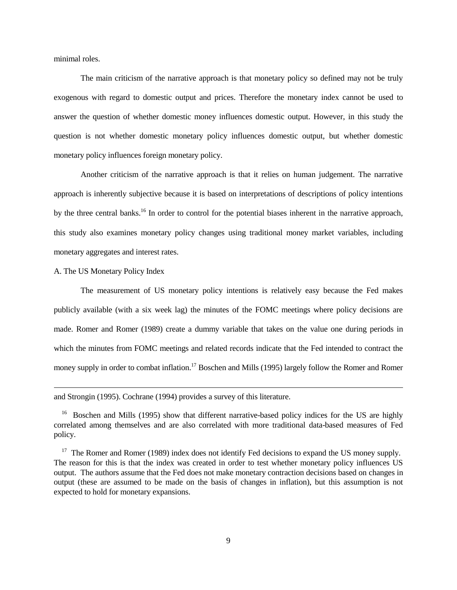minimal roles.

The main criticism of the narrative approach is that monetary policy so defined may not be truly exogenous with regard to domestic output and prices. Therefore the monetary index cannot be used to answer the question of whether domestic money influences domestic output. However, in this study the question is not whether domestic monetary policy influences domestic output, but whether domestic monetary policy influences foreign monetary policy.

Another criticism of the narrative approach is that it relies on human judgement. The narrative approach is inherently subjective because it is based on interpretations of descriptions of policy intentions by the three central banks.<sup>16</sup> In order to control for the potential biases inherent in the narrative approach, this study also examines monetary policy changes using traditional money market variables, including monetary aggregates and interest rates.

A. The US Monetary Policy Index

 $\overline{a}$ 

The measurement of US monetary policy intentions is relatively easy because the Fed makes publicly available (with a six week lag) the minutes of the FOMC meetings where policy decisions are made. Romer and Romer (1989) create a dummy variable that takes on the value one during periods in which the minutes from FOMC meetings and related records indicate that the Fed intended to contract the money supply in order to combat inflation.<sup>17</sup> Boschen and Mills (1995) largely follow the Romer and Romer

and Strongin (1995). Cochrane (1994) provides a survey of this literature.

<sup>&</sup>lt;sup>16</sup> Boschen and Mills (1995) show that different narrative-based policy indices for the US are highly correlated among themselves and are also correlated with more traditional data-based measures of Fed policy.

<sup>&</sup>lt;sup>17</sup> The Romer and Romer (1989) index does not identify Fed decisions to expand the US money supply. The reason for this is that the index was created in order to test whether monetary policy influences US output. The authors assume that the Fed does not make monetary contraction decisions based on changes in output (these are assumed to be made on the basis of changes in inflation), but this assumption is not expected to hold for monetary expansions.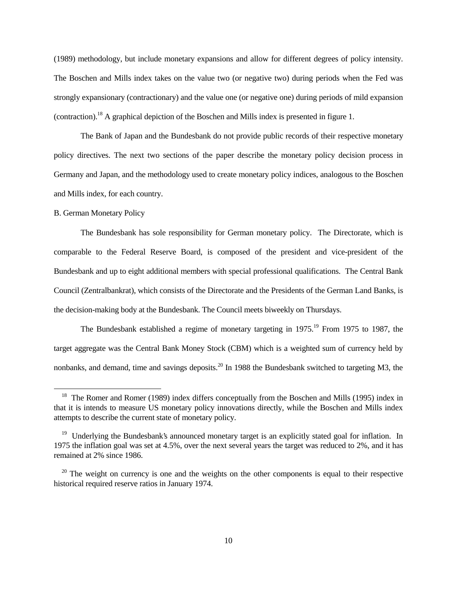(1989) methodology, but include monetary expansions and allow for different degrees of policy intensity. The Boschen and Mills index takes on the value two (or negative two) during periods when the Fed was strongly expansionary (contractionary) and the value one (or negative one) during periods of mild expansion (contraction).18 A graphical depiction of the Boschen and Mills index is presented in figure 1.

 The Bank of Japan and the Bundesbank do not provide public records of their respective monetary policy directives. The next two sections of the paper describe the monetary policy decision process in Germany and Japan, and the methodology used to create monetary policy indices, analogous to the Boschen and Mills index, for each country.

### B. German Monetary Policy

 $\overline{a}$ 

The Bundesbank has sole responsibility for German monetary policy. The Directorate, which is comparable to the Federal Reserve Board, is composed of the president and vice-president of the Bundesbank and up to eight additional members with special professional qualifications. The Central Bank Council (Zentralbankrat), which consists of the Directorate and the Presidents of the German Land Banks, is the decision-making body at the Bundesbank. The Council meets biweekly on Thursdays.

The Bundesbank established a regime of monetary targeting in  $1975$ .<sup>19</sup> From 1975 to 1987, the target aggregate was the Central Bank Money Stock (CBM) which is a weighted sum of currency held by nonbanks, and demand, time and savings deposits.<sup>20</sup> In 1988 the Bundesbank switched to targeting M3, the

<sup>&</sup>lt;sup>18</sup> The Romer and Romer (1989) index differs conceptually from the Boschen and Mills (1995) index in that it is intends to measure US monetary policy innovations directly, while the Boschen and Mills index attempts to describe the current state of monetary policy.

<sup>&</sup>lt;sup>19</sup> Underlying the Bundesbank's announced monetary target is an explicitly stated goal for inflation. In 1975 the inflation goal was set at 4.5%, over the next several years the target was reduced to 2%, and it has remained at 2% since 1986.

 $20$  The weight on currency is one and the weights on the other components is equal to their respective historical required reserve ratios in January 1974.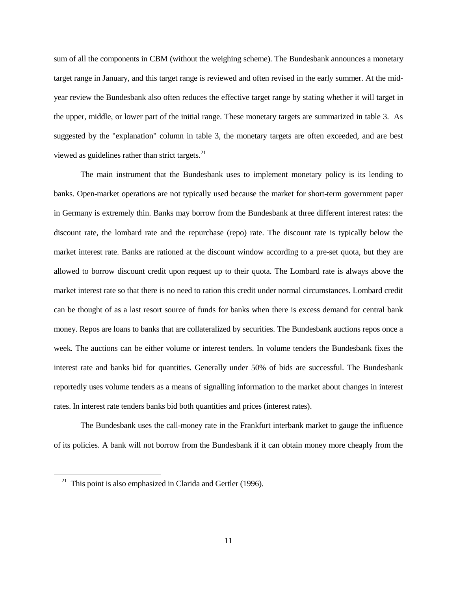sum of all the components in CBM (without the weighing scheme). The Bundesbank announces a monetary target range in January, and this target range is reviewed and often revised in the early summer. At the midyear review the Bundesbank also often reduces the effective target range by stating whether it will target in the upper, middle, or lower part of the initial range. These monetary targets are summarized in table 3. As suggested by the "explanation" column in table 3, the monetary targets are often exceeded, and are best viewed as guidelines rather than strict targets. $^{21}$ 

The main instrument that the Bundesbank uses to implement monetary policy is its lending to banks. Open-market operations are not typically used because the market for short-term government paper in Germany is extremely thin. Banks may borrow from the Bundesbank at three different interest rates: the discount rate, the lombard rate and the repurchase (repo) rate. The discount rate is typically below the market interest rate. Banks are rationed at the discount window according to a pre-set quota, but they are allowed to borrow discount credit upon request up to their quota. The Lombard rate is always above the market interest rate so that there is no need to ration this credit under normal circumstances. Lombard credit can be thought of as a last resort source of funds for banks when there is excess demand for central bank money. Repos are loans to banks that are collateralized by securities. The Bundesbank auctions repos once a week. The auctions can be either volume or interest tenders. In volume tenders the Bundesbank fixes the interest rate and banks bid for quantities. Generally under 50% of bids are successful. The Bundesbank reportedly uses volume tenders as a means of signalling information to the market about changes in interest rates. In interest rate tenders banks bid both quantities and prices (interest rates).

The Bundesbank uses the call-money rate in the Frankfurt interbank market to gauge the influence of its policies. A bank will not borrow from the Bundesbank if it can obtain money more cheaply from the

<sup>&</sup>lt;sup>21</sup> This point is also emphasized in Clarida and Gertler (1996).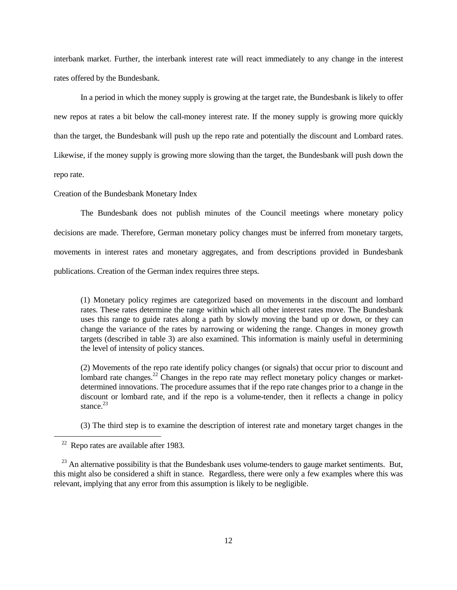interbank market. Further, the interbank interest rate will react immediately to any change in the interest rates offered by the Bundesbank.

In a period in which the money supply is growing at the target rate, the Bundesbank is likely to offer new repos at rates a bit below the call-money interest rate. If the money supply is growing more quickly than the target, the Bundesbank will push up the repo rate and potentially the discount and Lombard rates. Likewise, if the money supply is growing more slowing than the target, the Bundesbank will push down the repo rate.

#### Creation of the Bundesbank Monetary Index

The Bundesbank does not publish minutes of the Council meetings where monetary policy decisions are made. Therefore, German monetary policy changes must be inferred from monetary targets, movements in interest rates and monetary aggregates, and from descriptions provided in Bundesbank publications. Creation of the German index requires three steps.

(1) Monetary policy regimes are categorized based on movements in the discount and lombard rates. These rates determine the range within which all other interest rates move. The Bundesbank uses this range to guide rates along a path by slowly moving the band up or down, or they can change the variance of the rates by narrowing or widening the range. Changes in money growth targets (described in table 3) are also examined. This information is mainly useful in determining the level of intensity of policy stances.

(2) Movements of the repo rate identify policy changes (or signals) that occur prior to discount and lombard rate changes.<sup>22</sup> Changes in the repo rate may reflect monetary policy changes or marketdetermined innovations. The procedure assumes that if the repo rate changes prior to a change in the discount or lombard rate, and if the repo is a volume-tender, then it reflects a change in policy stance. $^{23}$ 

(3) The third step is to examine the description of interest rate and monetary target changes in the

 $22$  Repo rates are available after 1983.

 $^{23}$  An alternative possibility is that the Bundesbank uses volume-tenders to gauge market sentiments. But, this might also be considered a shift in stance. Regardless, there were only a few examples where this was relevant, implying that any error from this assumption is likely to be negligible.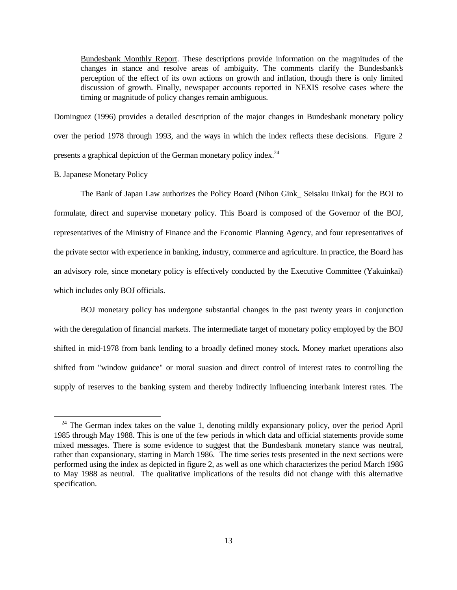Bundesbank Monthly Report. These descriptions provide information on the magnitudes of the changes in stance and resolve areas of ambiguity. The comments clarify the Bundesbank's perception of the effect of its own actions on growth and inflation, though there is only limited discussion of growth. Finally, newspaper accounts reported in NEXIS resolve cases where the timing or magnitude of policy changes remain ambiguous.

Dominguez (1996) provides a detailed description of the major changes in Bundesbank monetary policy over the period 1978 through 1993, and the ways in which the index reflects these decisions. Figure 2 presents a graphical depiction of the German monetary policy index.<sup>24</sup>

#### B. Japanese Monetary Policy

 $\overline{a}$ 

The Bank of Japan Law authorizes the Policy Board (Nihon Gink\_ Seisaku Iinkai) for the BOJ to formulate, direct and supervise monetary policy. This Board is composed of the Governor of the BOJ, representatives of the Ministry of Finance and the Economic Planning Agency, and four representatives of the private sector with experience in banking, industry, commerce and agriculture. In practice, the Board has an advisory role, since monetary policy is effectively conducted by the Executive Committee (Yakuinkai) which includes only BOJ officials.

BOJ monetary policy has undergone substantial changes in the past twenty years in conjunction with the deregulation of financial markets. The intermediate target of monetary policy employed by the BOJ shifted in mid-1978 from bank lending to a broadly defined money stock. Money market operations also shifted from "window guidance" or moral suasion and direct control of interest rates to controlling the supply of reserves to the banking system and thereby indirectly influencing interbank interest rates. The

<sup>&</sup>lt;sup>24</sup> The German index takes on the value 1, denoting mildly expansionary policy, over the period April 1985 through May 1988. This is one of the few periods in which data and official statements provide some mixed messages. There is some evidence to suggest that the Bundesbank monetary stance was neutral, rather than expansionary, starting in March 1986. The time series tests presented in the next sections were performed using the index as depicted in figure 2, as well as one which characterizes the period March 1986 to May 1988 as neutral. The qualitative implications of the results did not change with this alternative specification.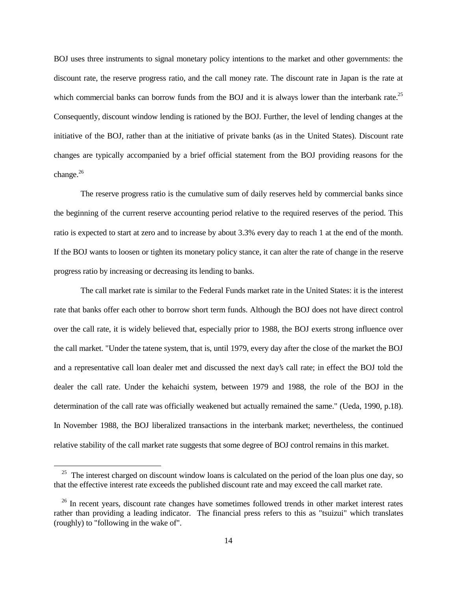BOJ uses three instruments to signal monetary policy intentions to the market and other governments: the discount rate, the reserve progress ratio, and the call money rate. The discount rate in Japan is the rate at which commercial banks can borrow funds from the BOJ and it is always lower than the interbank rate.<sup>25</sup> Consequently, discount window lending is rationed by the BOJ. Further, the level of lending changes at the initiative of the BOJ, rather than at the initiative of private banks (as in the United States). Discount rate changes are typically accompanied by a brief official statement from the BOJ providing reasons for the change. $26$ 

The reserve progress ratio is the cumulative sum of daily reserves held by commercial banks since the beginning of the current reserve accounting period relative to the required reserves of the period. This ratio is expected to start at zero and to increase by about 3.3% every day to reach 1 at the end of the month. If the BOJ wants to loosen or tighten its monetary policy stance, it can alter the rate of change in the reserve progress ratio by increasing or decreasing its lending to banks.

The call market rate is similar to the Federal Funds market rate in the United States: it is the interest rate that banks offer each other to borrow short term funds. Although the BOJ does not have direct control over the call rate, it is widely believed that, especially prior to 1988, the BOJ exerts strong influence over the call market. "Under the tatene system, that is, until 1979, every day after the close of the market the BOJ and a representative call loan dealer met and discussed the next day's call rate; in effect the BOJ told the dealer the call rate. Under the kehaichi system, between 1979 and 1988, the role of the BOJ in the determination of the call rate was officially weakened but actually remained the same." (Ueda, 1990, p.18). In November 1988, the BOJ liberalized transactions in the interbank market; nevertheless, the continued relative stability of the call market rate suggests that some degree of BOJ control remains in this market.

<sup>&</sup>lt;sup>25</sup> The interest charged on discount window loans is calculated on the period of the loan plus one day, so that the effective interest rate exceeds the published discount rate and may exceed the call market rate.

<sup>&</sup>lt;sup>26</sup> In recent years, discount rate changes have sometimes followed trends in other market interest rates rather than providing a leading indicator. The financial press refers to this as "tsuizui" which translates (roughly) to "following in the wake of".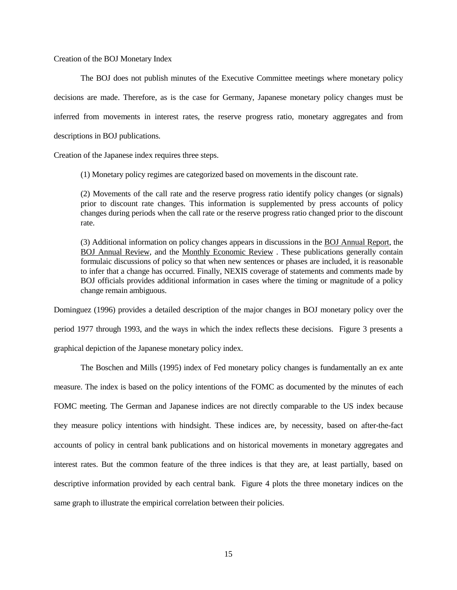Creation of the BOJ Monetary Index

The BOJ does not publish minutes of the Executive Committee meetings where monetary policy decisions are made. Therefore, as is the case for Germany, Japanese monetary policy changes must be inferred from movements in interest rates, the reserve progress ratio, monetary aggregates and from descriptions in BOJ publications.

Creation of the Japanese index requires three steps.

(1) Monetary policy regimes are categorized based on movements in the discount rate.

(2) Movements of the call rate and the reserve progress ratio identify policy changes (or signals) prior to discount rate changes. This information is supplemented by press accounts of policy changes during periods when the call rate or the reserve progress ratio changed prior to the discount rate.

(3) Additional information on policy changes appears in discussions in the BOJ Annual Report, the BOJ Annual Review, and the Monthly Economic Review . These publications generally contain formulaic discussions of policy so that when new sentences or phases are included, it is reasonable to infer that a change has occurred. Finally, NEXIS coverage of statements and comments made by BOJ officials provides additional information in cases where the timing or magnitude of a policy change remain ambiguous.

Dominguez (1996) provides a detailed description of the major changes in BOJ monetary policy over the period 1977 through 1993, and the ways in which the index reflects these decisions. Figure 3 presents a graphical depiction of the Japanese monetary policy index.

The Boschen and Mills (1995) index of Fed monetary policy changes is fundamentally an ex ante measure. The index is based on the policy intentions of the FOMC as documented by the minutes of each FOMC meeting. The German and Japanese indices are not directly comparable to the US index because they measure policy intentions with hindsight. These indices are, by necessity, based on after-the-fact accounts of policy in central bank publications and on historical movements in monetary aggregates and interest rates. But the common feature of the three indices is that they are, at least partially, based on descriptive information provided by each central bank. Figure 4 plots the three monetary indices on the same graph to illustrate the empirical correlation between their policies.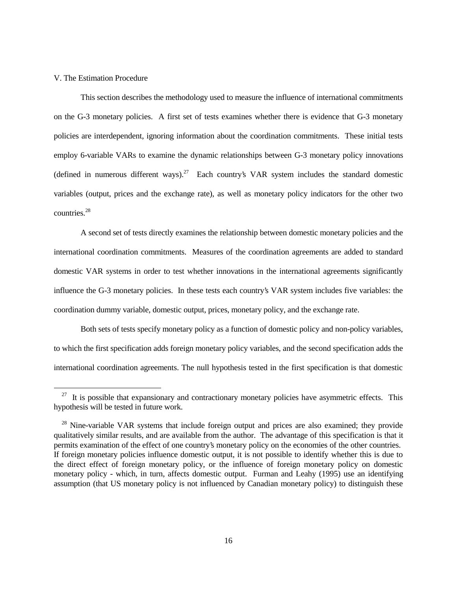#### V. The Estimation Procedure

 $\overline{a}$ 

This section describes the methodology used to measure the influence of international commitments on the G-3 monetary policies. A first set of tests examines whether there is evidence that G-3 monetary policies are interdependent, ignoring information about the coordination commitments. These initial tests employ 6-variable VARs to examine the dynamic relationships between G-3 monetary policy innovations (defined in numerous different ways).<sup>27</sup> Each country's VAR system includes the standard domestic variables (output, prices and the exchange rate), as well as monetary policy indicators for the other two countries<sup>28</sup>

A second set of tests directly examines the relationship between domestic monetary policies and the international coordination commitments. Measures of the coordination agreements are added to standard domestic VAR systems in order to test whether innovations in the international agreements significantly influence the G-3 monetary policies. In these tests each country's VAR system includes five variables: the coordination dummy variable, domestic output, prices, monetary policy, and the exchange rate.

Both sets of tests specify monetary policy as a function of domestic policy and non-policy variables, to which the first specification adds foreign monetary policy variables, and the second specification adds the international coordination agreements. The null hypothesis tested in the first specification is that domestic

 $27$  It is possible that expansionary and contractionary monetary policies have asymmetric effects. This hypothesis will be tested in future work.

<sup>&</sup>lt;sup>28</sup> Nine-variable VAR systems that include foreign output and prices are also examined; they provide qualitatively similar results, and are available from the author. The advantage of this specification is that it permits examination of the effect of one country's monetary policy on the economies of the other countries. If foreign monetary policies influence domestic output, it is not possible to identify whether this is due to the direct effect of foreign monetary policy, or the influence of foreign monetary policy on domestic monetary policy - which, in turn, affects domestic output. Furman and Leahy (1995) use an identifying assumption (that US monetary policy is not influenced by Canadian monetary policy) to distinguish these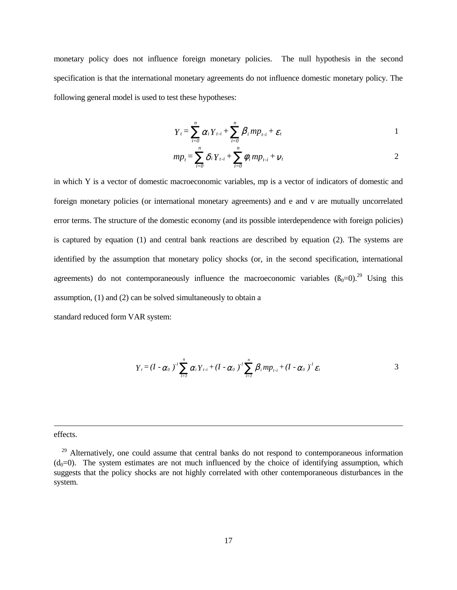monetary policy does not influence foreign monetary policies. The null hypothesis in the second specification is that the international monetary agreements do not influence domestic monetary policy. The following general model is used to test these hypotheses:

$$
Y_t = \sum_{i=0}^n \alpha_i Y_{t-i} + \sum_{i=0}^n \beta_i m p_{t-i} + \varepsilon_t
$$

$$
mp_{t} = \sum_{i=0}^{n} \delta_{i} Y_{t-i} + \sum_{i=0}^{n} \phi_{i} mp_{t-i} + \nu_{t}
$$

in which Y is a vector of domestic macroeconomic variables, mp is a vector of indicators of domestic and foreign monetary policies (or international monetary agreements) and e and v are mutually uncorrelated error terms. The structure of the domestic economy (and its possible interdependence with foreign policies) is captured by equation (1) and central bank reactions are described by equation (2). The systems are identified by the assumption that monetary policy shocks (or, in the second specification, international agreements) do not contemporaneously influence the macroeconomic variables  $(\beta_0=0)$ .<sup>29</sup> Using this assumption, (1) and (2) can be solved simultaneously to obtain a

standard reduced form VAR system:

$$
Y_{t} = (I - \alpha_{0})^{T} \sum_{i=1}^{n} \alpha_{i} Y_{t-i} + (I - \alpha_{0})^{T} \sum_{i=1}^{n} \beta_{i} m p_{t-i} + (I - \alpha_{0})^{T} \varepsilon_{t}
$$

effects.

<sup>&</sup>lt;sup>29</sup> Alternatively, one could assume that central banks do not respond to contemporaneous information  $(d_0=0)$ . The system estimates are not much influenced by the choice of identifying assumption, which suggests that the policy shocks are not highly correlated with other contemporaneous disturbances in the system.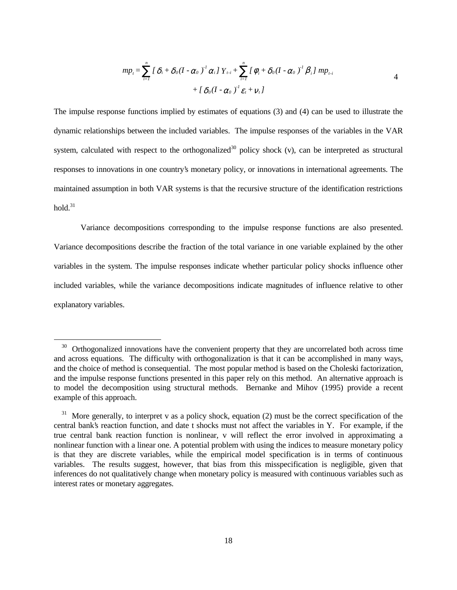$$
mp_{i} = \sum_{i=1}^{n} \left[ \delta_{i} + \delta_{0} (I - \alpha_{0})^{T} \alpha_{i} \right] Y_{t-i} + \sum_{i=1}^{n} \left[ \phi_{i} + \delta_{0} (I - \alpha_{0})^{T} \beta_{i} \right] mp_{t-i}
$$
  
+ 
$$
\left[ \delta_{0} (I - \alpha_{0})^{T} \varepsilon_{i} + v_{t} \right]
$$
 4

The impulse response functions implied by estimates of equations (3) and (4) can be used to illustrate the dynamic relationships between the included variables. The impulse responses of the variables in the VAR system, calculated with respect to the orthogonalized<sup>30</sup> policy shock  $(v)$ , can be interpreted as structural responses to innovations in one country's monetary policy, or innovations in international agreements. The maintained assumption in both VAR systems is that the recursive structure of the identification restrictions hold $31$ 

Variance decompositions corresponding to the impulse response functions are also presented. Variance decompositions describe the fraction of the total variance in one variable explained by the other variables in the system. The impulse responses indicate whether particular policy shocks influence other included variables, while the variance decompositions indicate magnitudes of influence relative to other explanatory variables.

<sup>&</sup>lt;sup>30</sup> Orthogonalized innovations have the convenient property that they are uncorrelated both across time and across equations. The difficulty with orthogonalization is that it can be accomplished in many ways, and the choice of method is consequential. The most popular method is based on the Choleski factorization, and the impulse response functions presented in this paper rely on this method. An alternative approach is to model the decomposition using structural methods. Bernanke and Mihov (1995) provide a recent example of this approach.

 $31$  More generally, to interpret v as a policy shock, equation (2) must be the correct specification of the central bank's reaction function, and date t shocks must not affect the variables in Y. For example, if the true central bank reaction function is nonlinear, v will reflect the error involved in approximating a nonlinear function with a linear one. A potential problem with using the indices to measure monetary policy is that they are discrete variables, while the empirical model specification is in terms of continuous variables. The results suggest, however, that bias from this misspecification is negligible, given that inferences do not qualitatively change when monetary policy is measured with continuous variables such as interest rates or monetary aggregates.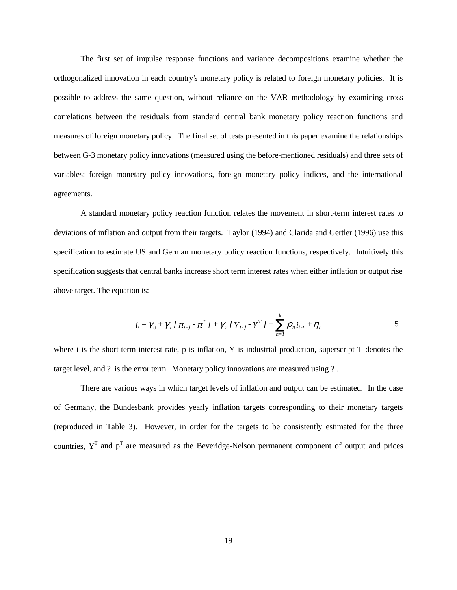The first set of impulse response functions and variance decompositions examine whether the orthogonalized innovation in each country's monetary policy is related to foreign monetary policies. It is possible to address the same question, without reliance on the VAR methodology by examining cross correlations between the residuals from standard central bank monetary policy reaction functions and measures of foreign monetary policy. The final set of tests presented in this paper examine the relationships between G-3 monetary policy innovations (measured using the before-mentioned residuals) and three sets of variables: foreign monetary policy innovations, foreign monetary policy indices, and the international agreements.

A standard monetary policy reaction function relates the movement in short-term interest rates to deviations of inflation and output from their targets. Taylor (1994) and Clarida and Gertler (1996) use this specification to estimate US and German monetary policy reaction functions, respectively. Intuitively this specification suggests that central banks increase short term interest rates when either inflation or output rise above target. The equation is:

$$
i_{t} = \gamma_{0} + \gamma_{1} \left[ \pi_{t-j} - \pi^{T} \right] + \gamma_{2} \left[ Y_{t-j} - Y^{T} \right] + \sum_{n=1}^{k} \rho_{n} i_{t-n} + \eta_{t}
$$

where i is the short-term interest rate, p is inflation,  $Y$  is industrial production, superscript  $T$  denotes the target level, and ? is the error term. Monetary policy innovations are measured using ?.

There are various ways in which target levels of inflation and output can be estimated. In the case of Germany, the Bundesbank provides yearly inflation targets corresponding to their monetary targets (reproduced in Table 3). However, in order for the targets to be consistently estimated for the three countries,  $Y^T$  and  $p^T$  are measured as the Beveridge-Nelson permanent component of output and prices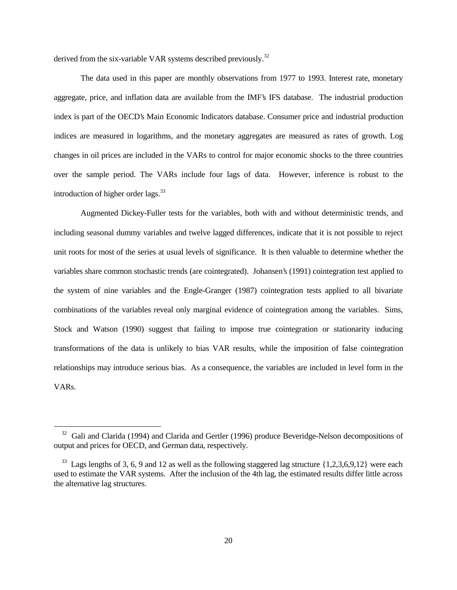derived from the six-variable VAR systems described previously.<sup>32</sup>

The data used in this paper are monthly observations from 1977 to 1993. Interest rate, monetary aggregate, price, and inflation data are available from the IMF's IFS database. The industrial production index is part of the OECD's Main Economic Indicators database. Consumer price and industrial production indices are measured in logarithms, and the monetary aggregates are measured as rates of growth. Log changes in oil prices are included in the VARs to control for major economic shocks to the three countries over the sample period. The VARs include four lags of data. However, inference is robust to the introduction of higher order lags. $^{33}$ 

Augmented Dickey-Fuller tests for the variables, both with and without deterministic trends, and including seasonal dummy variables and twelve lagged differences, indicate that it is not possible to reject unit roots for most of the series at usual levels of significance. It is then valuable to determine whether the variables share common stochastic trends (are cointegrated). Johansen's (1991) cointegration test applied to the system of nine variables and the Engle-Granger (1987) cointegration tests applied to all bivariate combinations of the variables reveal only marginal evidence of cointegration among the variables. Sims, Stock and Watson (1990) suggest that failing to impose true cointegration or stationarity inducing transformations of the data is unlikely to bias VAR results, while the imposition of false cointegration relationships may introduce serious bias. As a consequence, the variables are included in level form in the VARs.

 $32$  Gali and Clarida (1994) and Clarida and Gertler (1996) produce Beveridge-Nelson decompositions of output and prices for OECD, and German data, respectively.

 $33$  Lags lengths of 3, 6, 9 and 12 as well as the following staggered lag structure  $\{1,2,3,6,9,12\}$  were each used to estimate the VAR systems. After the inclusion of the 4th lag, the estimated results differ little across the alternative lag structures.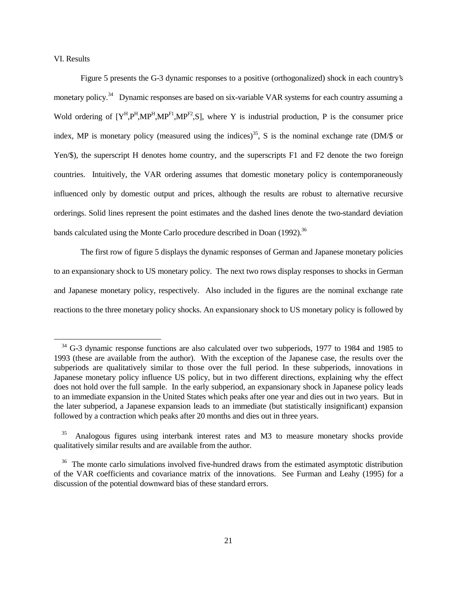VI. Results

 $\overline{a}$ 

Figure 5 presents the G-3 dynamic responses to a positive (orthogonalized) shock in each country's monetary policy.<sup>34</sup> Dynamic responses are based on six-variable VAR systems for each country assuming a Wold ordering of  $[Y^H, P^H, MP^H, MP^{F1}, MP^{F2}, S]$ , where Y is industrial production, P is the consumer price index, MP is monetary policy (measured using the indices)<sup>35</sup>, S is the nominal exchange rate (DM/ $\$ is or Yen/\$), the superscript H denotes home country, and the superscripts F1 and F2 denote the two foreign countries. Intuitively, the VAR ordering assumes that domestic monetary policy is contemporaneously influenced only by domestic output and prices, although the results are robust to alternative recursive orderings. Solid lines represent the point estimates and the dashed lines denote the two-standard deviation bands calculated using the Monte Carlo procedure described in Doan (1992).<sup>36</sup>

The first row of figure 5 displays the dynamic responses of German and Japanese monetary policies to an expansionary shock to US monetary policy. The next two rows display responses to shocks in German and Japanese monetary policy, respectively. Also included in the figures are the nominal exchange rate reactions to the three monetary policy shocks. An expansionary shock to US monetary policy is followed by

<sup>&</sup>lt;sup>34</sup> G-3 dynamic response functions are also calculated over two subperiods, 1977 to 1984 and 1985 to 1993 (these are available from the author). With the exception of the Japanese case, the results over the subperiods are qualitatively similar to those over the full period. In these subperiods, innovations in Japanese monetary policy influence US policy, but in two different directions, explaining why the effect does not hold over the full sample. In the early subperiod, an expansionary shock in Japanese policy leads to an immediate expansion in the United States which peaks after one year and dies out in two years. But in the later subperiod, a Japanese expansion leads to an immediate (but statistically insignificant) expansion followed by a contraction which peaks after 20 months and dies out in three years.

<sup>&</sup>lt;sup>35</sup> Analogous figures using interbank interest rates and M3 to measure monetary shocks provide qualitatively similar results and are available from the author.

<sup>&</sup>lt;sup>36</sup> The monte carlo simulations involved five-hundred draws from the estimated asymptotic distribution of the VAR coefficients and covariance matrix of the innovations. See Furman and Leahy (1995) for a discussion of the potential downward bias of these standard errors.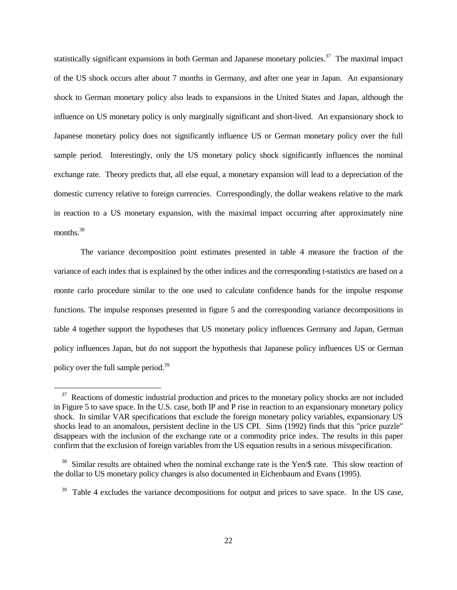statistically significant expansions in both German and Japanese monetary policies.<sup>37</sup> The maximal impact of the US shock occurs after about 7 months in Germany, and after one year in Japan. An expansionary shock to German monetary policy also leads to expansions in the United States and Japan, although the influence on US monetary policy is only marginally significant and short-lived. An expansionary shock to Japanese monetary policy does not significantly influence US or German monetary policy over the full sample period. Interestingly, only the US monetary policy shock significantly influences the nominal exchange rate. Theory predicts that, all else equal, a monetary expansion will lead to a depreciation of the domestic currency relative to foreign currencies. Correspondingly, the dollar weakens relative to the mark in reaction to a US monetary expansion, with the maximal impact occurring after approximately nine months.<sup>38</sup>

The variance decomposition point estimates presented in table 4 measure the fraction of the variance of each index that is explained by the other indices and the corresponding t-statistics are based on a monte carlo procedure similar to the one used to calculate confidence bands for the impulse response functions. The impulse responses presented in figure 5 and the corresponding variance decompositions in table 4 together support the hypotheses that US monetary policy influences Germany and Japan, German policy influences Japan, but do not support the hypothesis that Japanese policy influences US or German policy over the full sample period.39

<sup>&</sup>lt;sup>37</sup> Reactions of domestic industrial production and prices to the monetary policy shocks are not included in Figure 5 to save space. In the U.S. case, both IP and P rise in reaction to an expansionary monetary policy shock. In similar VAR specifications that exclude the foreign monetary policy variables, expansionary US shocks lead to an anomalous, persistent decline in the US CPI. Sims (1992) finds that this "price puzzle" disappears with the inclusion of the exchange rate or a commodity price index. The results in this paper confirm that the exclusion of foreign variables from the US equation results in a serious misspecification.

<sup>&</sup>lt;sup>38</sup> Similar results are obtained when the nominal exchange rate is the Yen/\$ rate. This slow reaction of the dollar to US monetary policy changes is also documented in Eichenbaum and Evans (1995).

<sup>&</sup>lt;sup>39</sup> Table 4 excludes the variance decompositions for output and prices to save space. In the US case,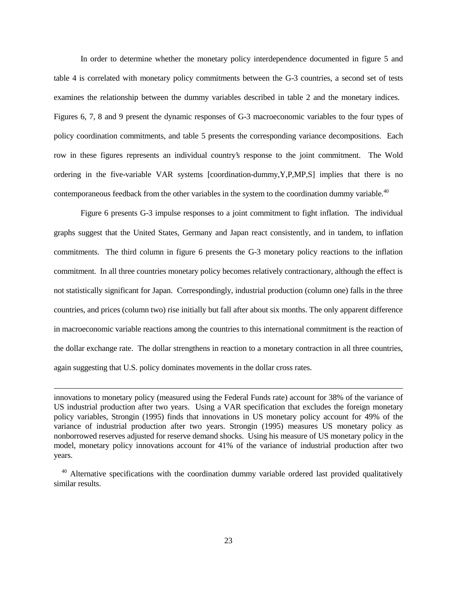In order to determine whether the monetary policy interdependence documented in figure 5 and table 4 is correlated with monetary policy commitments between the G-3 countries, a second set of tests examines the relationship between the dummy variables described in table 2 and the monetary indices. Figures 6, 7, 8 and 9 present the dynamic responses of G-3 macroeconomic variables to the four types of policy coordination commitments, and table 5 presents the corresponding variance decompositions. Each row in these figures represents an individual country's response to the joint commitment. The Wold ordering in the five-variable VAR systems [coordination-dummy,Y,P,MP,S] implies that there is no contemporaneous feedback from the other variables in the system to the coordination dummy variable.<sup>40</sup>

Figure 6 presents G-3 impulse responses to a joint commitment to fight inflation. The individual graphs suggest that the United States, Germany and Japan react consistently, and in tandem, to inflation commitments. The third column in figure 6 presents the G-3 monetary policy reactions to the inflation commitment. In all three countries monetary policy becomes relatively contractionary, although the effect is not statistically significant for Japan. Correspondingly, industrial production (column one) falls in the three countries, and prices (column two) rise initially but fall after about six months. The only apparent difference in macroeconomic variable reactions among the countries to this international commitment is the reaction of the dollar exchange rate. The dollar strengthens in reaction to a monetary contraction in all three countries, again suggesting that U.S. policy dominates movements in the dollar cross rates.

 $\ddot{\phantom{a}}$ 

innovations to monetary policy (measured using the Federal Funds rate) account for 38% of the variance of US industrial production after two years. Using a VAR specification that excludes the foreign monetary policy variables, Strongin (1995) finds that innovations in US monetary policy account for 49% of the variance of industrial production after two years. Strongin (1995) measures US monetary policy as nonborrowed reserves adjusted for reserve demand shocks. Using his measure of US monetary policy in the model, monetary policy innovations account for 41% of the variance of industrial production after two years.

<sup>&</sup>lt;sup>40</sup> Alternative specifications with the coordination dummy variable ordered last provided qualitatively similar results.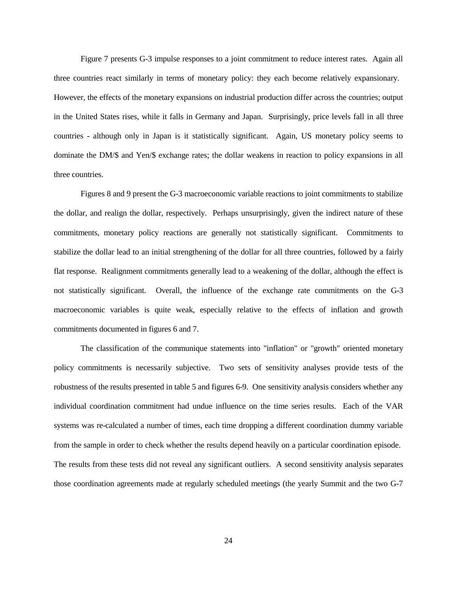Figure 7 presents G-3 impulse responses to a joint commitment to reduce interest rates. Again all three countries react similarly in terms of monetary policy: they each become relatively expansionary. However, the effects of the monetary expansions on industrial production differ across the countries; output in the United States rises, while it falls in Germany and Japan. Surprisingly, price levels fall in all three countries - although only in Japan is it statistically significant. Again, US monetary policy seems to dominate the DM/\$ and Yen/\$ exchange rates; the dollar weakens in reaction to policy expansions in all three countries.

Figures 8 and 9 present the G-3 macroeconomic variable reactions to joint commitments to stabilize the dollar, and realign the dollar, respectively. Perhaps unsurprisingly, given the indirect nature of these commitments, monetary policy reactions are generally not statistically significant. Commitments to stabilize the dollar lead to an initial strengthening of the dollar for all three countries, followed by a fairly flat response. Realignment commitments generally lead to a weakening of the dollar, although the effect is not statistically significant. Overall, the influence of the exchange rate commitments on the G-3 macroeconomic variables is quite weak, especially relative to the effects of inflation and growth commitments documented in figures 6 and 7.

The classification of the communique statements into "inflation" or "growth" oriented monetary policy commitments is necessarily subjective. Two sets of sensitivity analyses provide tests of the robustness of the results presented in table 5 and figures 6-9. One sensitivity analysis considers whether any individual coordination commitment had undue influence on the time series results. Each of the VAR systems was re-calculated a number of times, each time dropping a different coordination dummy variable from the sample in order to check whether the results depend heavily on a particular coordination episode. The results from these tests did not reveal any significant outliers. A second sensitivity analysis separates those coordination agreements made at regularly scheduled meetings (the yearly Summit and the two G-7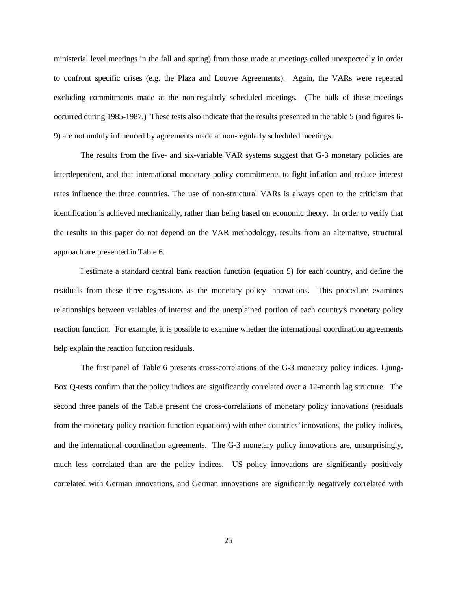ministerial level meetings in the fall and spring) from those made at meetings called unexpectedly in order to confront specific crises (e.g. the Plaza and Louvre Agreements). Again, the VARs were repeated excluding commitments made at the non-regularly scheduled meetings. (The bulk of these meetings occurred during 1985-1987.) These tests also indicate that the results presented in the table 5 (and figures 6- 9) are not unduly influenced by agreements made at non-regularly scheduled meetings.

The results from the five- and six-variable VAR systems suggest that G-3 monetary policies are interdependent, and that international monetary policy commitments to fight inflation and reduce interest rates influence the three countries. The use of non-structural VARs is always open to the criticism that identification is achieved mechanically, rather than being based on economic theory. In order to verify that the results in this paper do not depend on the VAR methodology, results from an alternative, structural approach are presented in Table 6.

I estimate a standard central bank reaction function (equation 5) for each country, and define the residuals from these three regressions as the monetary policy innovations. This procedure examines relationships between variables of interest and the unexplained portion of each country's monetary policy reaction function. For example, it is possible to examine whether the international coordination agreements help explain the reaction function residuals.

The first panel of Table 6 presents cross-correlations of the G-3 monetary policy indices. Ljung-Box Q-tests confirm that the policy indices are significantly correlated over a 12-month lag structure. The second three panels of the Table present the cross-correlations of monetary policy innovations (residuals from the monetary policy reaction function equations) with other countries' innovations, the policy indices, and the international coordination agreements. The G-3 monetary policy innovations are, unsurprisingly, much less correlated than are the policy indices. US policy innovations are significantly positively correlated with German innovations, and German innovations are significantly negatively correlated with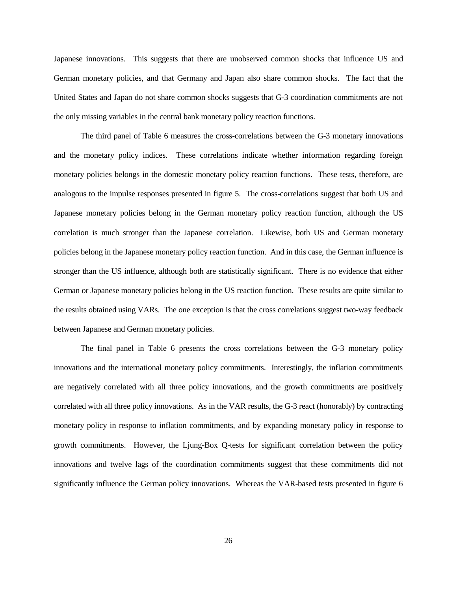Japanese innovations. This suggests that there are unobserved common shocks that influence US and German monetary policies, and that Germany and Japan also share common shocks. The fact that the United States and Japan do not share common shocks suggests that G-3 coordination commitments are not the only missing variables in the central bank monetary policy reaction functions.

The third panel of Table 6 measures the cross-correlations between the G-3 monetary innovations and the monetary policy indices. These correlations indicate whether information regarding foreign monetary policies belongs in the domestic monetary policy reaction functions. These tests, therefore, are analogous to the impulse responses presented in figure 5. The cross-correlations suggest that both US and Japanese monetary policies belong in the German monetary policy reaction function, although the US correlation is much stronger than the Japanese correlation. Likewise, both US and German monetary policies belong in the Japanese monetary policy reaction function. And in this case, the German influence is stronger than the US influence, although both are statistically significant. There is no evidence that either German or Japanese monetary policies belong in the US reaction function. These results are quite similar to the results obtained using VARs. The one exception is that the cross correlations suggest two-way feedback between Japanese and German monetary policies.

The final panel in Table 6 presents the cross correlations between the G-3 monetary policy innovations and the international monetary policy commitments. Interestingly, the inflation commitments are negatively correlated with all three policy innovations, and the growth commitments are positively correlated with all three policy innovations. As in the VAR results, the G-3 react (honorably) by contracting monetary policy in response to inflation commitments, and by expanding monetary policy in response to growth commitments. However, the Ljung-Box Q-tests for significant correlation between the policy innovations and twelve lags of the coordination commitments suggest that these commitments did not significantly influence the German policy innovations. Whereas the VAR-based tests presented in figure 6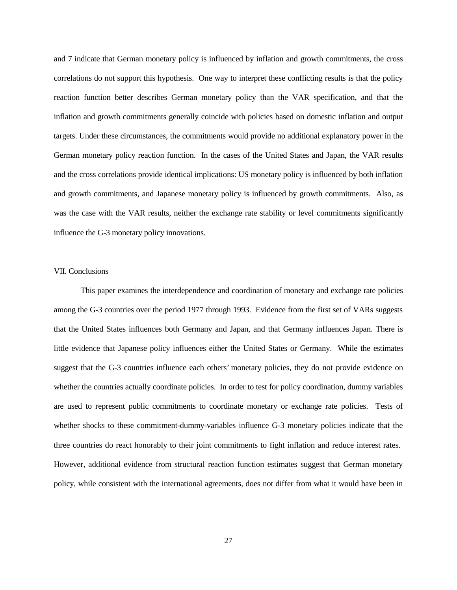and 7 indicate that German monetary policy is influenced by inflation and growth commitments, the cross correlations do not support this hypothesis. One way to interpret these conflicting results is that the policy reaction function better describes German monetary policy than the VAR specification, and that the inflation and growth commitments generally coincide with policies based on domestic inflation and output targets. Under these circumstances, the commitments would provide no additional explanatory power in the German monetary policy reaction function. In the cases of the United States and Japan, the VAR results and the cross correlations provide identical implications: US monetary policy is influenced by both inflation and growth commitments, and Japanese monetary policy is influenced by growth commitments. Also, as was the case with the VAR results, neither the exchange rate stability or level commitments significantly influence the G-3 monetary policy innovations.

### VII. Conclusions

This paper examines the interdependence and coordination of monetary and exchange rate policies among the G-3 countries over the period 1977 through 1993. Evidence from the first set of VARs suggests that the United States influences both Germany and Japan, and that Germany influences Japan. There is little evidence that Japanese policy influences either the United States or Germany. While the estimates suggest that the G-3 countries influence each others' monetary policies, they do not provide evidence on whether the countries actually coordinate policies. In order to test for policy coordination, dummy variables are used to represent public commitments to coordinate monetary or exchange rate policies. Tests of whether shocks to these commitment-dummy-variables influence G-3 monetary policies indicate that the three countries do react honorably to their joint commitments to fight inflation and reduce interest rates. However, additional evidence from structural reaction function estimates suggest that German monetary policy, while consistent with the international agreements, does not differ from what it would have been in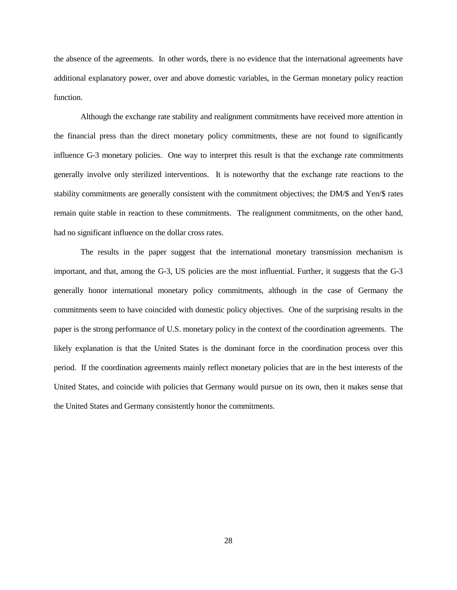the absence of the agreements. In other words, there is no evidence that the international agreements have additional explanatory power, over and above domestic variables, in the German monetary policy reaction function.

Although the exchange rate stability and realignment commitments have received more attention in the financial press than the direct monetary policy commitments, these are not found to significantly influence G-3 monetary policies. One way to interpret this result is that the exchange rate commitments generally involve only sterilized interventions. It is noteworthy that the exchange rate reactions to the stability commitments are generally consistent with the commitment objectives; the DM/\$ and Yen/\$ rates remain quite stable in reaction to these commitments. The realignment commitments, on the other hand, had no significant influence on the dollar cross rates.

The results in the paper suggest that the international monetary transmission mechanism is important, and that, among the G-3, US policies are the most influential. Further, it suggests that the G-3 generally honor international monetary policy commitments, although in the case of Germany the commitments seem to have coincided with domestic policy objectives. One of the surprising results in the paper is the strong performance of U.S. monetary policy in the context of the coordination agreements. The likely explanation is that the United States is the dominant force in the coordination process over this period. If the coordination agreements mainly reflect monetary policies that are in the best interests of the United States, and coincide with policies that Germany would pursue on its own, then it makes sense that the United States and Germany consistently honor the commitments.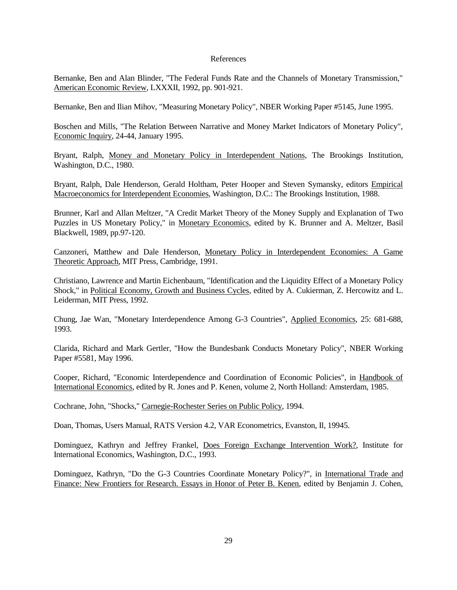#### References

Bernanke, Ben and Alan Blinder, "The Federal Funds Rate and the Channels of Monetary Transmission," American Economic Review, LXXXII, 1992, pp. 901-921.

Bernanke, Ben and Ilian Mihov, "Measuring Monetary Policy", NBER Working Paper #5145, June 1995.

Boschen and Mills, "The Relation Between Narrative and Money Market Indicators of Monetary Policy", Economic Inquiry, 24-44, January 1995.

Bryant, Ralph, Money and Monetary Policy in Interdependent Nations, The Brookings Institution, Washington, D.C., 1980.

Bryant, Ralph, Dale Henderson, Gerald Holtham, Peter Hooper and Steven Symansky, editors Empirical Macroeconomics for Interdependent Economies, Washington, D.C.: The Brookings Institution, 1988.

Brunner, Karl and Allan Meltzer, "A Credit Market Theory of the Money Supply and Explanation of Two Puzzles in US Monetary Policy," in Monetary Economics, edited by K. Brunner and A. Meltzer, Basil Blackwell, 1989, pp.97-120.

Canzoneri, Matthew and Dale Henderson, Monetary Policy in Interdependent Economies: A Game Theoretic Approach, MIT Press, Cambridge, 1991.

Christiano, Lawrence and Martin Eichenbaum, "Identification and the Liquidity Effect of a Monetary Policy Shock," in Political Economy, Growth and Business Cycles, edited by A. Cukierman, Z. Hercowitz and L. Leiderman, MIT Press, 1992.

Chung, Jae Wan, "Monetary Interdependence Among G-3 Countries", Applied Economics, 25: 681-688, 1993.

Clarida, Richard and Mark Gertler, "How the Bundesbank Conducts Monetary Policy", NBER Working Paper #5581, May 1996.

Cooper, Richard, "Economic Interdependence and Coordination of Economic Policies", in Handbook of International Economics, edited by R. Jones and P. Kenen, volume 2, North Holland: Amsterdam, 1985.

Cochrane, John, "Shocks," Carnegie-Rochester Series on Public Policy, 1994.

Doan, Thomas, Users Manual, RATS Version 4.2, VAR Econometrics, Evanston, Il, 19945.

Dominguez, Kathryn and Jeffrey Frankel, Does Foreign Exchange Intervention Work?, Institute for International Economics, Washington, D.C., 1993.

Dominguez, Kathryn, "Do the G-3 Countries Coordinate Monetary Policy?", in International Trade and Finance: New Frontiers for Research. Essays in Honor of Peter B. Kenen, edited by Benjamin J. Cohen,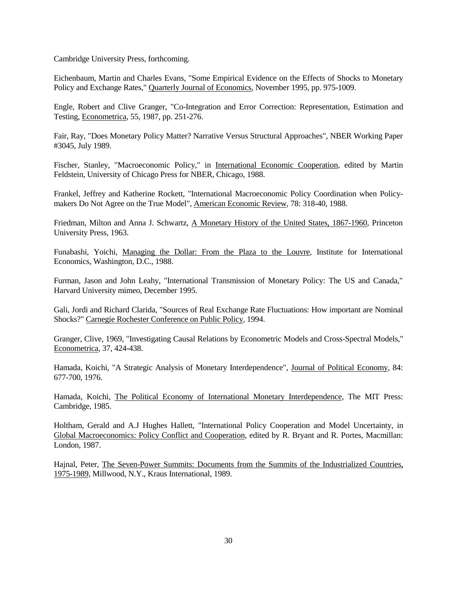Cambridge University Press, forthcoming.

Eichenbaum, Martin and Charles Evans, "Some Empirical Evidence on the Effects of Shocks to Monetary Policy and Exchange Rates," Quarterly Journal of Economics, November 1995, pp. 975-1009.

Engle, Robert and Clive Granger, "Co-Integration and Error Correction: Representation, Estimation and Testing, Econometrica, 55, 1987, pp. 251-276.

Fair, Ray, "Does Monetary Policy Matter? Narrative Versus Structural Approaches", NBER Working Paper #3045, July 1989.

Fischer, Stanley, "Macroeconomic Policy," in International Economic Cooperation, edited by Martin Feldstein, University of Chicago Press for NBER, Chicago, 1988.

Frankel, Jeffrey and Katherine Rockett, "International Macroeconomic Policy Coordination when Policymakers Do Not Agree on the True Model", American Economic Review, 78: 318-40, 1988.

Friedman, Milton and Anna J. Schwartz, A Monetary History of the United States, 1867-1960, Princeton University Press, 1963.

Funabashi, Yoichi, Managing the Dollar: From the Plaza to the Louvre, Institute for International Economics, Washington, D.C., 1988.

Furman, Jason and John Leahy, "International Transmission of Monetary Policy: The US and Canada," Harvard University mimeo, December 1995.

Gali, Jordi and Richard Clarida, "Sources of Real Exchange Rate Fluctuations: How important are Nominal Shocks?" Carnegie Rochester Conference on Public Policy, 1994.

Granger, Clive, 1969, "Investigating Causal Relations by Econometric Models and Cross-Spectral Models," Econometrica, 37, 424-438.

Hamada, Koichi, "A Strategic Analysis of Monetary Interdependence", Journal of Political Economy, 84: 677-700, 1976.

Hamada, Koichi, The Political Economy of International Monetary Interdependence, The MIT Press: Cambridge, 1985.

Holtham, Gerald and A.J Hughes Hallett, "International Policy Cooperation and Model Uncertainty, in Global Macroeconomics: Policy Conflict and Cooperation, edited by R. Bryant and R. Portes, Macmillan: London, 1987.

Hajnal, Peter, The Seven-Power Summits: Documents from the Summits of the Industrialized Countries, 1975-1989, Millwood, N.Y., Kraus International, 1989.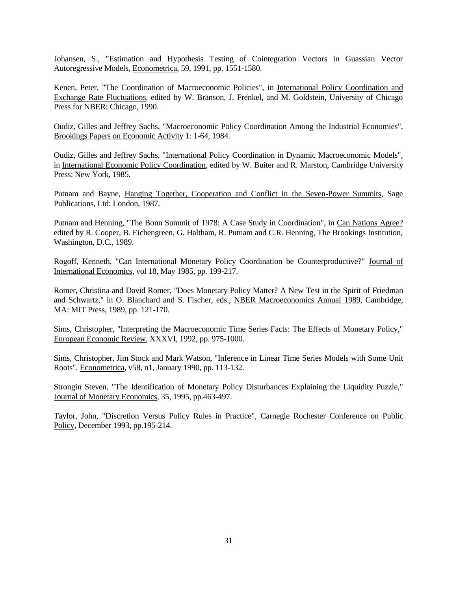Johansen, S., "Estimation and Hypothesis Testing of Cointegration Vectors in Guassian Vector Autoregressive Models, Econometrica, 59, 1991, pp. 1551-1580.

Kenen, Peter, "The Coordination of Macroeconomic Policies", in International Policy Coordination and Exchange Rate Fluctuations, edited by W. Branson, J. Frenkel, and M. Goldstein, University of Chicago Press for NBER: Chicago, 1990.

Oudiz, Gilles and Jeffrey Sachs, "Macroeconomic Policy Coordination Among the Industrial Economies", Brookings Papers on Economic Activity 1: 1-64, 1984.

Oudiz, Gilles and Jeffrey Sachs, "International Policy Coordination in Dynamic Macroeconomic Models", in International Economic Policy Coordination, edited by W. Buiter and R. Marston, Cambridge University Press: New York, 1985.

Putnam and Bayne, Hanging Together, Cooperation and Conflict in the Seven-Power Summits, Sage Publications, Ltd: London, 1987.

Putnam and Henning, "The Bonn Summit of 1978: A Case Study in Coordination", in Can Nations Agree? edited by R. Cooper, B. Eichengreen, G. Haltham, R. Putnam and C.R. Henning, The Brookings Institution, Washington, D.C., 1989.

Rogoff, Kenneth, "Can International Monetary Policy Coordination be Counterproductive?" Journal of International Economics, vol 18, May 1985, pp. 199-217.

Romer, Christina and David Romer, "Does Monetary Policy Matter? A New Test in the Spirit of Friedman and Schwartz," in O. Blanchard and S. Fischer, eds., NBER Macroeconomics Annual 1989, Cambridge, MA: MIT Press, 1989, pp. 121-170.

Sims, Christopher, "Interpreting the Macroeconomic Time Series Facts: The Effects of Monetary Policy," European Economic Review, XXXVI, 1992, pp. 975-1000.

Sims, Christopher, Jim Stock and Mark Watson, "Inference in Linear Time Series Models with Some Unit Roots", Econometrica, v58, n1, January 1990, pp. 113-132.

Strongin Steven, "The Identification of Monetary Policy Disturbances Explaining the Liquidity Puzzle," Journal of Monetary Economics, 35, 1995, pp.463-497.

Taylor, John, "Discretion Versus Policy Rules in Practice", Carnegie Rochester Conference on Public Policy, December 1993, pp.195-214.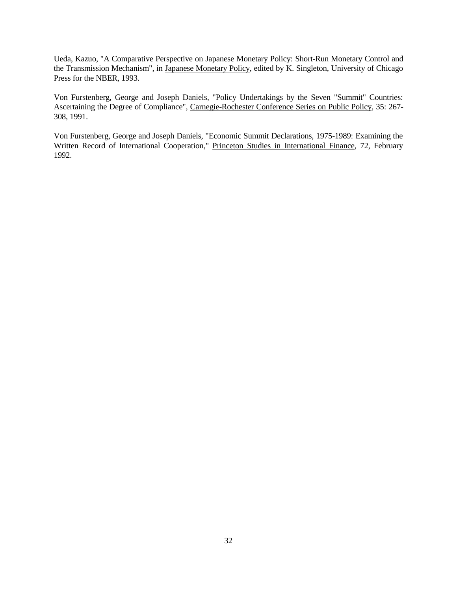Ueda, Kazuo, "A Comparative Perspective on Japanese Monetary Policy: Short-Run Monetary Control and the Transmission Mechanism", in Japanese Monetary Policy, edited by K. Singleton, University of Chicago Press for the NBER, 1993.

Von Furstenberg, George and Joseph Daniels, "Policy Undertakings by the Seven "Summit" Countries: Ascertaining the Degree of Compliance", Carnegie-Rochester Conference Series on Public Policy, 35: 267- 308, 1991.

Von Furstenberg, George and Joseph Daniels, "Economic Summit Declarations, 1975-1989: Examining the Written Record of International Cooperation," Princeton Studies in International Finance, 72, February 1992.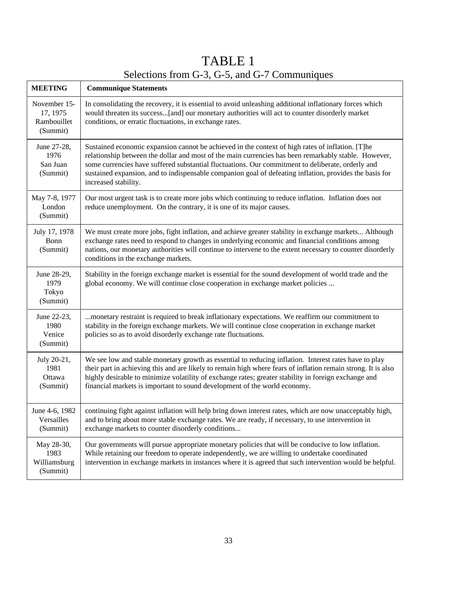## TABLE 1 Selections from G-3, G-5, and G-7 Communiques

| <b>MEETING</b>                                      | <b>Communique Statements</b>                                                                                                                                                                                                                                                                                                                                                                                                                     |
|-----------------------------------------------------|--------------------------------------------------------------------------------------------------------------------------------------------------------------------------------------------------------------------------------------------------------------------------------------------------------------------------------------------------------------------------------------------------------------------------------------------------|
| November 15-<br>17, 1975<br>Rambouillet<br>(Summit) | In consolidating the recovery, it is essential to avoid unleashing additional inflationary forces which<br>would threaten its success[and] our monetary authorities will act to counter disorderly market<br>conditions, or erratic fluctuations, in exchange rates.                                                                                                                                                                             |
| June 27-28,<br>1976<br>San Juan<br>(Summit)         | Sustained economic expansion cannot be achieved in the context of high rates of inflation. [T]he<br>relationship between the dollar and most of the main currencies has been remarkably stable. However,<br>some currencies have suffered substantial fluctuations. Our commitment to deliberate, orderly and<br>sustained expansion, and to indispensable companion goal of defeating inflation, provides the basis for<br>increased stability. |
| May 7-8, 1977<br>London<br>(Summit)                 | Our most urgent task is to create more jobs which continuing to reduce inflation. Inflation does not<br>reduce unemployment. On the contrary, it is one of its major causes.                                                                                                                                                                                                                                                                     |
| July 17, 1978<br>Bonn<br>(Summit)                   | We must create more jobs, fight inflation, and achieve greater stability in exchange markets Although<br>exchange rates need to respond to changes in underlying economic and financial conditions among<br>nations, our monetary authorities will continue to intervene to the extent necessary to counter disorderly<br>conditions in the exchange markets.                                                                                    |
| June 28-29,<br>1979<br>Tokyo<br>(Summit)            | Stability in the foreign exchange market is essential for the sound development of world trade and the<br>global economy. We will continue close cooperation in exchange market policies                                                                                                                                                                                                                                                         |
| June 22-23,<br>1980<br>Venice<br>(Summit)           | monetary restraint is required to break inflationary expectations. We reaffirm our commitment to<br>stability in the foreign exchange markets. We will continue close cooperation in exchange market<br>policies so as to avoid disorderly exchange rate fluctuations.                                                                                                                                                                           |
| July 20-21,<br>1981<br>Ottawa<br>(Summit)           | We see low and stable monetary growth as essential to reducing inflation. Interest rates have to play<br>their part in achieving this and are likely to remain high where fears of inflation remain strong. It is also<br>highly desirable to minimize volatility of exchange rates; greater stability in foreign exchange and<br>financial markets is important to sound development of the world economy.                                      |
| June 4-6, 1982<br>Versailles<br>(Summit)            | continuing fight against inflation will help bring down interest rates, which are now unacceptably high,<br>and to bring about more stable exchange rates. We are ready, if necessary, to use intervention in<br>exchange markets to counter disorderly conditions                                                                                                                                                                               |
| May 28-30,<br>1983<br>Williamsburg<br>(Summit)      | Our governments will pursue appropriate monetary policies that will be conducive to low inflation.<br>While retaining our freedom to operate independently, we are willing to undertake coordinated<br>intervention in exchange markets in instances where it is agreed that such intervention would be helpful.                                                                                                                                 |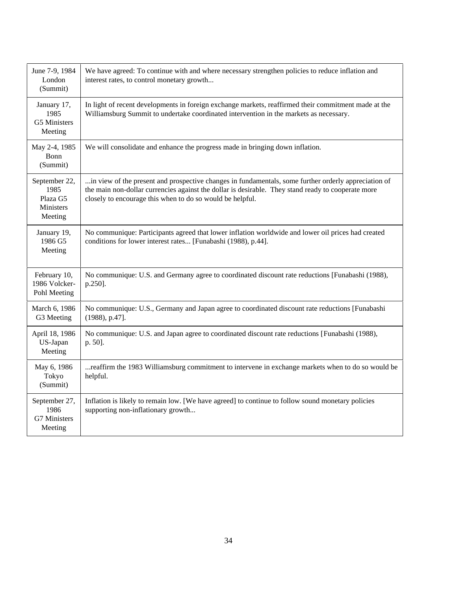| June 7-9, 1984<br>London<br>(Summit)                      | We have agreed: To continue with and where necessary strengthen policies to reduce inflation and<br>interest rates, to control monetary growth                                                                                                                          |
|-----------------------------------------------------------|-------------------------------------------------------------------------------------------------------------------------------------------------------------------------------------------------------------------------------------------------------------------------|
| January 17,<br>1985<br>G5 Ministers<br>Meeting            | In light of recent developments in foreign exchange markets, reaffirmed their commitment made at the<br>Williamsburg Summit to undertake coordinated intervention in the markets as necessary.                                                                          |
| May 2-4, 1985<br>Bonn<br>(Summit)                         | We will consolidate and enhance the progress made in bringing down inflation.                                                                                                                                                                                           |
| September 22,<br>1985<br>Plaza G5<br>Ministers<br>Meeting | in view of the present and prospective changes in fundamentals, some further orderly appreciation of<br>the main non-dollar currencies against the dollar is desirable. They stand ready to cooperate more<br>closely to encourage this when to do so would be helpful. |
| January 19,<br>1986 G5<br>Meeting                         | No communique: Participants agreed that lower inflation worldwide and lower oil prices had created<br>conditions for lower interest rates [Funabashi (1988), p.44].                                                                                                     |
| February 10,<br>1986 Volcker-<br>Pohl Meeting             | No communique: U.S. and Germany agree to coordinated discount rate reductions [Funabashi (1988),<br>p.250].                                                                                                                                                             |
| March 6, 1986<br>G3 Meeting                               | No communique: U.S., Germany and Japan agree to coordinated discount rate reductions [Funabashi<br>$(1988)$ , p.47].                                                                                                                                                    |
| April 18, 1986<br>US-Japan<br>Meeting                     | No communique: U.S. and Japan agree to coordinated discount rate reductions [Funabashi (1988),<br>p. 50].                                                                                                                                                               |
| May 6, 1986<br>Tokyo<br>(Summit)                          | reaffirm the 1983 Williamsburg commitment to intervene in exchange markets when to do so would be<br>helpful.                                                                                                                                                           |
| September 27,<br>1986<br>G7 Ministers<br>Meeting          | Inflation is likely to remain low. [We have agreed] to continue to follow sound monetary policies<br>supporting non-inflationary growth                                                                                                                                 |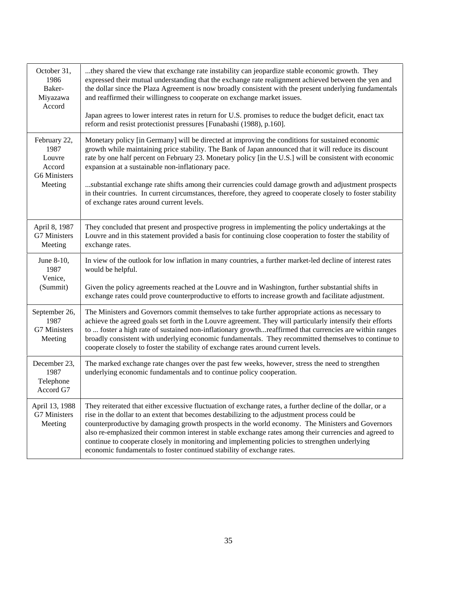| October 31,<br>1986<br>Baker-<br>Miyazawa<br>Accord                 | they shared the view that exchange rate instability can jeopardize stable economic growth. They<br>expressed their mutual understanding that the exchange rate realignment achieved between the yen and<br>the dollar since the Plaza Agreement is now broadly consistent with the present underlying fundamentals<br>and reaffirmed their willingness to cooperate on exchange market issues.<br>Japan agrees to lower interest rates in return for U.S. promises to reduce the budget deficit, enact tax<br>reform and resist protectionist pressures [Funabashi (1988), p.160].                                                              |
|---------------------------------------------------------------------|-------------------------------------------------------------------------------------------------------------------------------------------------------------------------------------------------------------------------------------------------------------------------------------------------------------------------------------------------------------------------------------------------------------------------------------------------------------------------------------------------------------------------------------------------------------------------------------------------------------------------------------------------|
| February 22,<br>1987<br>Louvre<br>Accord<br>G6 Ministers<br>Meeting | Monetary policy [in Germany] will be directed at improving the conditions for sustained economic<br>growth while maintaining price stability. The Bank of Japan announced that it will reduce its discount<br>rate by one half percent on February 23. Monetary policy [in the U.S.] will be consistent with economic<br>expansion at a sustainable non-inflationary pace.<br>substantial exchange rate shifts among their currencies could damage growth and adjustment prospects<br>in their countries. In current circumstances, therefore, they agreed to cooperate closely to foster stability<br>of exchange rates around current levels. |
| April 8, 1987<br>G7 Ministers<br>Meeting                            | They concluded that present and prospective progress in implementing the policy undertakings at the<br>Louvre and in this statement provided a basis for continuing close cooperation to foster the stability of<br>exchange rates.                                                                                                                                                                                                                                                                                                                                                                                                             |
| June 8-10,<br>1987<br>Venice,<br>(Summit)                           | In view of the outlook for low inflation in many countries, a further market-led decline of interest rates<br>would be helpful.<br>Given the policy agreements reached at the Louvre and in Washington, further substantial shifts in<br>exchange rates could prove counterproductive to efforts to increase growth and facilitate adjustment.                                                                                                                                                                                                                                                                                                  |
| September 26,<br>1987<br>G7 Ministers<br>Meeting                    | The Ministers and Governors commit themselves to take further appropriate actions as necessary to<br>achieve the agreed goals set forth in the Louvre agreement. They will particularly intensify their efforts<br>to  foster a high rate of sustained non-inflationary growthreaffirmed that currencies are within ranges<br>broadly consistent with underlying economic fundamentals. They recommitted themselves to continue to<br>cooperate closely to foster the stability of exchange rates around current levels.                                                                                                                        |
| December 23,<br>1987<br>Telephone<br>Accord G7                      | The marked exchange rate changes over the past few weeks, however, stress the need to strengthen<br>underlying economic fundamentals and to continue policy cooperation.                                                                                                                                                                                                                                                                                                                                                                                                                                                                        |
| April 13, 1988<br>G7 Ministers<br>Meeting                           | They reiterated that either excessive fluctuation of exchange rates, a further decline of the dollar, or a<br>rise in the dollar to an extent that becomes destabilizing to the adjustment process could be<br>counterproductive by damaging growth prospects in the world economy. The Ministers and Governors<br>also re-emphasized their common interest in stable exchange rates among their currencies and agreed to<br>continue to cooperate closely in monitoring and implementing policies to strengthen underlying<br>economic fundamentals to foster continued stability of exchange rates.                                           |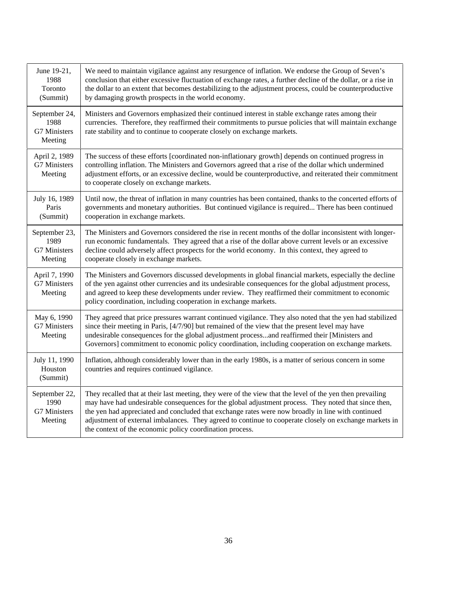| June 19-21,<br>1988<br>Toronto<br>(Summit)       | We need to maintain vigilance against any resurgence of inflation. We endorse the Group of Seven's<br>conclusion that either excessive fluctuation of exchange rates, a further decline of the dollar, or a rise in<br>the dollar to an extent that becomes destabilizing to the adjustment process, could be counterproductive<br>by damaging growth prospects in the world economy.                                                                                                        |
|--------------------------------------------------|----------------------------------------------------------------------------------------------------------------------------------------------------------------------------------------------------------------------------------------------------------------------------------------------------------------------------------------------------------------------------------------------------------------------------------------------------------------------------------------------|
| September 24,<br>1988<br>G7 Ministers<br>Meeting | Ministers and Governors emphasized their continued interest in stable exchange rates among their<br>currencies. Therefore, they reaffirmed their commitments to pursue policies that will maintain exchange<br>rate stability and to continue to cooperate closely on exchange markets.                                                                                                                                                                                                      |
| April 2, 1989<br><b>G7 Ministers</b><br>Meeting  | The success of these efforts [coordinated non-inflationary growth] depends on continued progress in<br>controlling inflation. The Ministers and Governors agreed that a rise of the dollar which undermined<br>adjustment efforts, or an excessive decline, would be counterproductive, and reiterated their commitment<br>to cooperate closely on exchange markets.                                                                                                                         |
| July 16, 1989<br>Paris<br>(Summit)               | Until now, the threat of inflation in many countries has been contained, thanks to the concerted efforts of<br>governments and monetary authorities. But continued vigilance is required There has been continued<br>cooperation in exchange markets.                                                                                                                                                                                                                                        |
| September 23,<br>1989<br>G7 Ministers<br>Meeting | The Ministers and Governors considered the rise in recent months of the dollar inconsistent with longer-<br>run economic fundamentals. They agreed that a rise of the dollar above current levels or an excessive<br>decline could adversely affect prospects for the world economy. In this context, they agreed to<br>cooperate closely in exchange markets.                                                                                                                               |
| April 7, 1990<br>G7 Ministers<br>Meeting         | The Ministers and Governors discussed developments in global financial markets, especially the decline<br>of the yen against other currencies and its undesirable consequences for the global adjustment process,<br>and agreed to keep these developments under review. They reaffirmed their commitment to economic<br>policy coordination, including cooperation in exchange markets.                                                                                                     |
| May 6, 1990<br>G7 Ministers<br>Meeting           | They agreed that price pressures warrant continued vigilance. They also noted that the yen had stabilized<br>since their meeting in Paris, [4/7/90] but remained of the view that the present level may have<br>undesirable consequences for the global adjustment processand reaffirmed their [Ministers and<br>Governors] commitment to economic policy coordination, including cooperation on exchange markets.                                                                           |
| July 11, 1990<br>Houston<br>(Summit)             | Inflation, although considerably lower than in the early 1980s, is a matter of serious concern in some<br>countries and requires continued vigilance.                                                                                                                                                                                                                                                                                                                                        |
| September 22,<br>1990<br>G7 Ministers<br>Meeting | They recalled that at their last meeting, they were of the view that the level of the yen then prevailing<br>may have had undesirable consequences for the global adjustment process. They noted that since then,<br>the yen had appreciated and concluded that exchange rates were now broadly in line with continued<br>adjustment of external imbalances. They agreed to continue to cooperate closely on exchange markets in<br>the context of the economic policy coordination process. |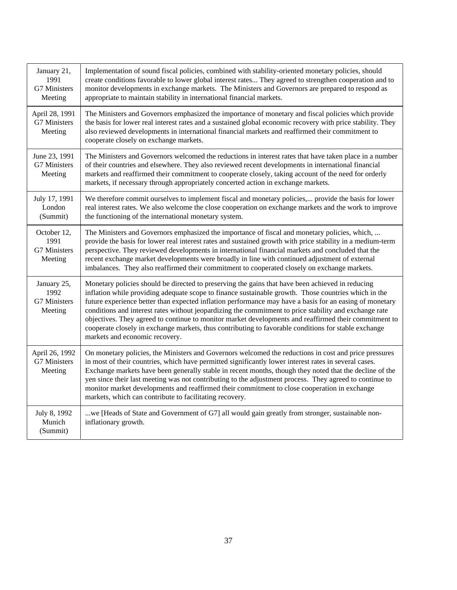| January 21,<br>1991<br>G7 Ministers<br>Meeting | Implementation of sound fiscal policies, combined with stability-oriented monetary policies, should<br>create conditions favorable to lower global interest rates They agreed to strengthen cooperation and to<br>monitor developments in exchange markets. The Ministers and Governors are prepared to respond as<br>appropriate to maintain stability in international financial markets.                                                                                                                                                                                                                                                                                      |
|------------------------------------------------|----------------------------------------------------------------------------------------------------------------------------------------------------------------------------------------------------------------------------------------------------------------------------------------------------------------------------------------------------------------------------------------------------------------------------------------------------------------------------------------------------------------------------------------------------------------------------------------------------------------------------------------------------------------------------------|
| April 28, 1991<br>G7 Ministers<br>Meeting      | The Ministers and Governors emphasized the importance of monetary and fiscal policies which provide<br>the basis for lower real interest rates and a sustained global economic recovery with price stability. They<br>also reviewed developments in international financial markets and reaffirmed their commitment to<br>cooperate closely on exchange markets.                                                                                                                                                                                                                                                                                                                 |
| June 23, 1991<br>G7 Ministers<br>Meeting       | The Ministers and Governors welcomed the reductions in interest rates that have taken place in a number<br>of their countries and elsewhere. They also reviewed recent developments in international financial<br>markets and reaffirmed their commitment to cooperate closely, taking account of the need for orderly<br>markets, if necessary through appropriately concerted action in exchange markets.                                                                                                                                                                                                                                                                      |
| July 17, 1991<br>London<br>(Summit)            | We therefore commit ourselves to implement fiscal and monetary policies, provide the basis for lower<br>real interest rates. We also welcome the close cooperation on exchange markets and the work to improve<br>the functioning of the international monetary system.                                                                                                                                                                                                                                                                                                                                                                                                          |
| October 12,<br>1991<br>G7 Ministers<br>Meeting | The Ministers and Governors emphasized the importance of fiscal and monetary policies, which,<br>provide the basis for lower real interest rates and sustained growth with price stability in a medium-term<br>perspective. They reviewed developments in international financial markets and concluded that the<br>recent exchange market developments were broadly in line with continued adjustment of external<br>imbalances. They also reaffirmed their commitment to cooperated closely on exchange markets.                                                                                                                                                               |
| January 25,<br>1992<br>G7 Ministers<br>Meeting | Monetary policies should be directed to preserving the gains that have been achieved in reducing<br>inflation while providing adequate scope to finance sustainable growth. Those countries which in the<br>future experience better than expected inflation performance may have a basis for an easing of monetary<br>conditions and interest rates without jeopardizing the commitment to price stability and exchange rate<br>objectives. They agreed to continue to monitor market developments and reaffirmed their commitment to<br>cooperate closely in exchange markets, thus contributing to favorable conditions for stable exchange<br>markets and economic recovery. |
| April 26, 1992<br>G7 Ministers<br>Meeting      | On monetary policies, the Ministers and Governors welcomed the reductions in cost and price pressures<br>in most of their countries, which have permitted significantly lower interest rates in several cases.<br>Exchange markets have been generally stable in recent months, though they noted that the decline of the<br>yen since their last meeting was not contributing to the adjustment process. They agreed to continue to<br>monitor market developments and reaffirmed their commitment to close cooperation in exchange<br>markets, which can contribute to facilitating recovery.                                                                                  |
| July 8, 1992<br>Munich<br>(Summit)             | we [Heads of State and Government of G7] all would gain greatly from stronger, sustainable non-<br>inflationary growth.                                                                                                                                                                                                                                                                                                                                                                                                                                                                                                                                                          |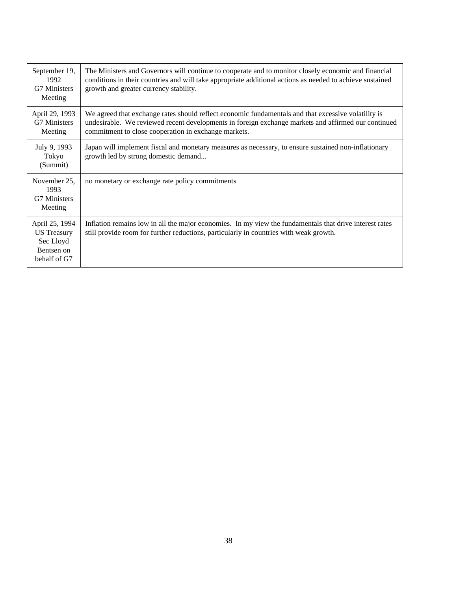| September 19,<br>1992<br>G7 Ministers<br>Meeting                                | The Ministers and Governors will continue to cooperate and to monitor closely economic and financial<br>conditions in their countries and will take appropriate additional actions as needed to achieve sustained<br>growth and greater currency stability.        |
|---------------------------------------------------------------------------------|--------------------------------------------------------------------------------------------------------------------------------------------------------------------------------------------------------------------------------------------------------------------|
| April 29, 1993<br><b>G7 Ministers</b><br>Meeting                                | We agreed that exchange rates should reflect economic fundamentals and that excessive volatility is<br>undesirable. We reviewed recent developments in foreign exchange markets and affirmed our continued<br>commitment to close cooperation in exchange markets. |
| July 9, 1993<br>Tokyo<br>(Summit)                                               | Japan will implement fiscal and monetary measures as necessary, to ensure sustained non-inflationary<br>growth led by strong domestic demand                                                                                                                       |
| November 25,<br>1993<br><b>G7 Ministers</b><br>Meeting                          | no monetary or exchange rate policy commitments                                                                                                                                                                                                                    |
| April 25, 1994<br><b>US</b> Treasury<br>Sec Lloyd<br>Bentsen on<br>behalf of G7 | Inflation remains low in all the major economies. In my view the fundamentals that drive interest rates<br>still provide room for further reductions, particularly in countries with weak growth.                                                                  |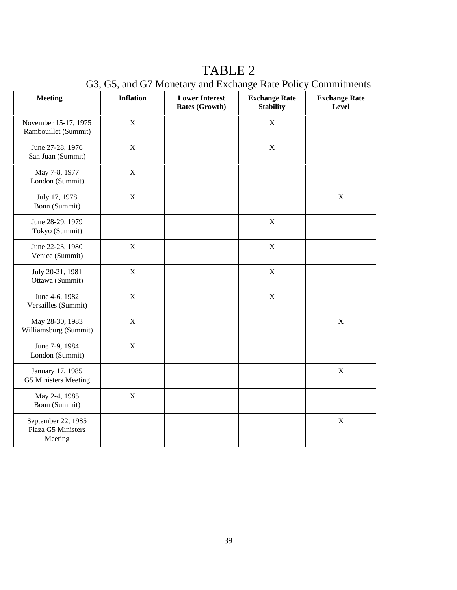| <b>Meeting</b>                                      | <b>Inflation</b> | <b>Lower Interest</b><br>Rates (Growth) | <b>Exchange Rate</b><br><b>Stability</b> | <b>Exchange Rate</b><br><b>Level</b> |
|-----------------------------------------------------|------------------|-----------------------------------------|------------------------------------------|--------------------------------------|
| November 15-17, 1975<br>Rambouillet (Summit)        | $\mathbf X$      |                                         | $\mathbf X$                              |                                      |
| June 27-28, 1976<br>San Juan (Summit)               | $\mathbf X$      |                                         | $\mathbf X$                              |                                      |
| May 7-8, 1977<br>London (Summit)                    | $\mathbf X$      |                                         |                                          |                                      |
| July 17, 1978<br>Bonn (Summit)                      | $\mathbf X$      |                                         |                                          | $\mathbf X$                          |
| June 28-29, 1979<br>Tokyo (Summit)                  |                  |                                         | $\mathbf X$                              |                                      |
| June 22-23, 1980<br>Venice (Summit)                 | $\mathbf X$      |                                         | $\mathbf X$                              |                                      |
| July 20-21, 1981<br>Ottawa (Summit)                 | $\mathbf X$      |                                         | $\mathbf X$                              |                                      |
| June 4-6, 1982<br>Versailles (Summit)               | $\mathbf X$      |                                         | $\mathbf X$                              |                                      |
| May 28-30, 1983<br>Williamsburg (Summit)            | $\mathbf X$      |                                         |                                          | $\mathbf X$                          |
| June 7-9, 1984<br>London (Summit)                   | $\mathbf X$      |                                         |                                          |                                      |
| January 17, 1985<br>G5 Ministers Meeting            |                  |                                         |                                          | $\mathbf X$                          |
| May 2-4, 1985<br>Bonn (Summit)                      | $\mathbf X$      |                                         |                                          |                                      |
| September 22, 1985<br>Plaza G5 Ministers<br>Meeting |                  |                                         |                                          | $\mathbf X$                          |

## TABLE 2

G3, G5, and G7 Monetary and Exchange Rate Policy Commitments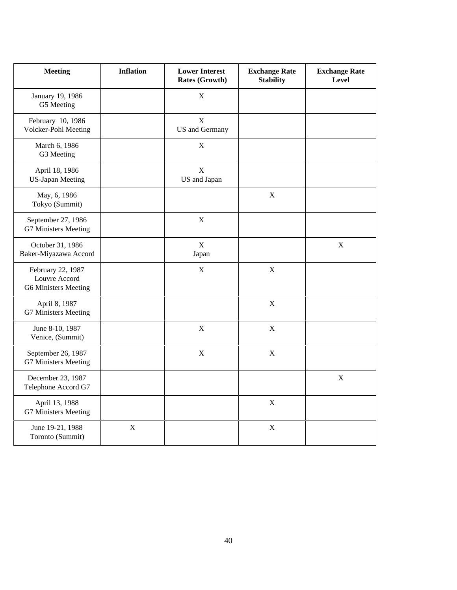| <b>Meeting</b>                                                    | <b>Inflation</b> | <b>Lower Interest</b><br>Rates (Growth) | <b>Exchange Rate</b><br><b>Stability</b> | <b>Exchange Rate</b><br><b>Level</b> |
|-------------------------------------------------------------------|------------------|-----------------------------------------|------------------------------------------|--------------------------------------|
| January 19, 1986<br>G5 Meeting                                    |                  | $\mathbf X$                             |                                          |                                      |
| February 10, 1986<br>Volcker-Pohl Meeting                         |                  | $\mathbf X$<br>US and Germany           |                                          |                                      |
| March 6, 1986<br>G3 Meeting                                       |                  | $\mathbf X$                             |                                          |                                      |
| April 18, 1986<br><b>US-Japan Meeting</b>                         |                  | $\mathbf X$<br>US and Japan             |                                          |                                      |
| May, 6, 1986<br>Tokyo (Summit)                                    |                  |                                         | $\mathbf X$                              |                                      |
| September 27, 1986<br>G7 Ministers Meeting                        |                  | $\boldsymbol{X}$                        |                                          |                                      |
| October 31, 1986<br>Baker-Miyazawa Accord                         |                  | $\mathbf X$<br>Japan                    |                                          | $\mathbf X$                          |
| February 22, 1987<br>Louvre Accord<br><b>G6 Ministers Meeting</b> |                  | $\mathbf X$                             | $\mathbf X$                              |                                      |
| April 8, 1987<br>G7 Ministers Meeting                             |                  |                                         | X                                        |                                      |
| June 8-10, 1987<br>Venice, (Summit)                               |                  | $\mathbf X$                             | $\mathbf X$                              |                                      |
| September 26, 1987<br>G7 Ministers Meeting                        |                  | $\mathbf X$                             | $\mathbf X$                              |                                      |
| December 23, 1987<br>Telephone Accord G7                          |                  |                                         |                                          | $\mathbf X$                          |
| April 13, 1988<br>G7 Ministers Meeting                            |                  |                                         | $\mathbf X$                              |                                      |
| June 19-21, 1988<br>Toronto (Summit)                              | $\mathbf X$      |                                         | $\mathbf X$                              |                                      |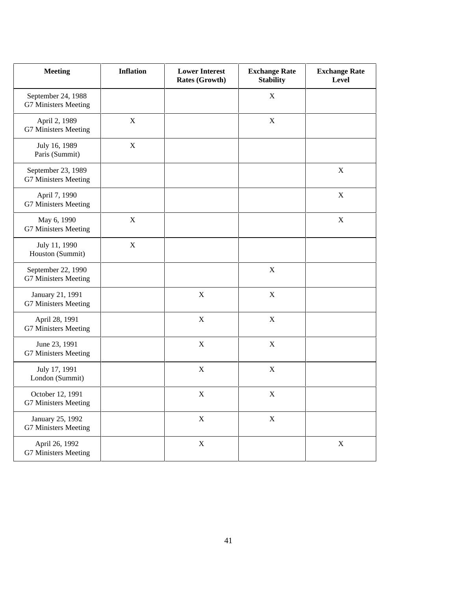| <b>Meeting</b>                             | <b>Inflation</b> | <b>Lower Interest</b><br>Rates (Growth) | <b>Exchange Rate</b><br><b>Stability</b> | <b>Exchange Rate</b><br>Level |
|--------------------------------------------|------------------|-----------------------------------------|------------------------------------------|-------------------------------|
| September 24, 1988<br>G7 Ministers Meeting |                  |                                         | $\mathbf X$                              |                               |
| April 2, 1989<br>G7 Ministers Meeting      | $\mathbf X$      |                                         | $\mathbf X$                              |                               |
| July 16, 1989<br>Paris (Summit)            | $\mathbf X$      |                                         |                                          |                               |
| September 23, 1989<br>G7 Ministers Meeting |                  |                                         |                                          | $\mathbf X$                   |
| April 7, 1990<br>G7 Ministers Meeting      |                  |                                         |                                          | X                             |
| May 6, 1990<br>G7 Ministers Meeting        | $\mathbf X$      |                                         |                                          | $\mathbf X$                   |
| July 11, 1990<br>Houston (Summit)          | $\mathbf X$      |                                         |                                          |                               |
| September 22, 1990<br>G7 Ministers Meeting |                  |                                         | $\mathbf X$                              |                               |
| January 21, 1991<br>G7 Ministers Meeting   |                  | $\mathbf X$                             | $\mathbf X$                              |                               |
| April 28, 1991<br>G7 Ministers Meeting     |                  | X                                       | $\mathbf X$                              |                               |
| June 23, 1991<br>G7 Ministers Meeting      |                  | $\boldsymbol{X}$                        | $\mathbf X$                              |                               |
| July 17, 1991<br>London (Summit)           |                  | X                                       | X                                        |                               |
| October 12, 1991<br>G7 Ministers Meeting   |                  | X                                       | $\mathbf X$                              |                               |
| January 25, 1992<br>G7 Ministers Meeting   |                  | X                                       | X                                        |                               |
| April 26, 1992<br>G7 Ministers Meeting     |                  | X                                       |                                          | $\mathbf X$                   |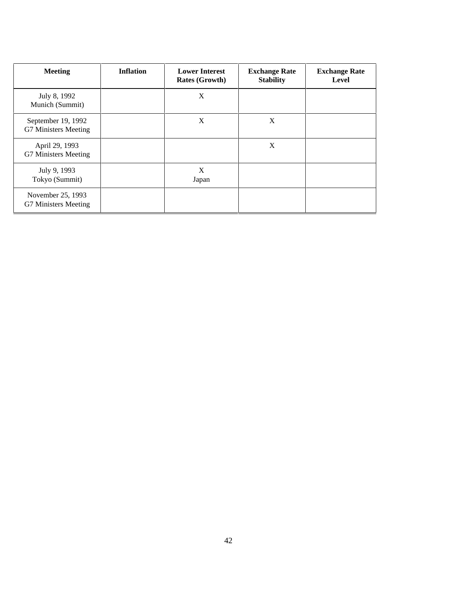| <b>Meeting</b>                             | <b>Inflation</b> | <b>Lower Interest</b><br><b>Rates (Growth)</b> | <b>Exchange Rate</b><br><b>Stability</b> | <b>Exchange Rate</b><br>Level |
|--------------------------------------------|------------------|------------------------------------------------|------------------------------------------|-------------------------------|
| July 8, 1992<br>Munich (Summit)            |                  | X                                              |                                          |                               |
| September 19, 1992<br>G7 Ministers Meeting |                  | $\mathbf{X}$                                   | X                                        |                               |
| April 29, 1993<br>G7 Ministers Meeting     |                  |                                                | X                                        |                               |
| July 9, 1993<br>Tokyo (Summit)             |                  | X<br>Japan                                     |                                          |                               |
| November 25, 1993<br>G7 Ministers Meeting  |                  |                                                |                                          |                               |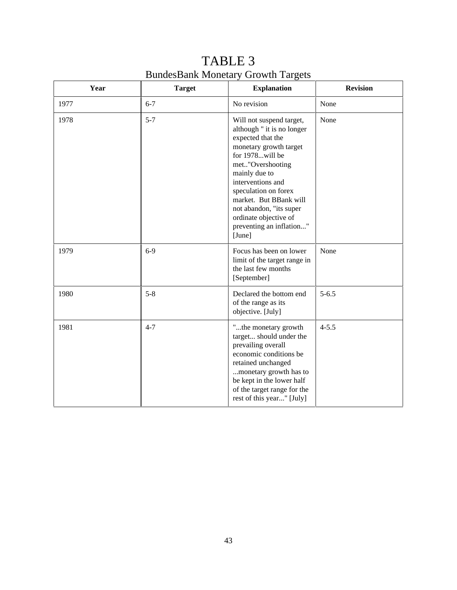| Year | <b>Target</b> | <b>Explanation</b>                                                                                                                                                                                                                                                                                                             | <b>Revision</b> |
|------|---------------|--------------------------------------------------------------------------------------------------------------------------------------------------------------------------------------------------------------------------------------------------------------------------------------------------------------------------------|-----------------|
| 1977 | $6 - 7$       | No revision                                                                                                                                                                                                                                                                                                                    | None            |
| 1978 | $5 - 7$       | Will not suspend target,<br>although " it is no longer<br>expected that the<br>monetary growth target<br>for 1978will be<br>met"Overshooting<br>mainly due to<br>interventions and<br>speculation on forex<br>market. But BBank will<br>not abandon, "its super<br>ordinate objective of<br>preventing an inflation"<br>[June] | None            |
| 1979 | $6-9$         | Focus has been on lower<br>limit of the target range in<br>the last few months<br>[September]                                                                                                                                                                                                                                  | None            |
| 1980 | $5 - 8$       | Declared the bottom end<br>of the range as its<br>objective. [July]                                                                                                                                                                                                                                                            | $5 - 6.5$       |
| 1981 | $4 - 7$       | "the monetary growth<br>target should under the<br>prevailing overall<br>economic conditions be<br>retained unchanged<br>monetary growth has to<br>be kept in the lower half<br>of the target range for the<br>rest of this year" [July]                                                                                       | $4 - 5.5$       |

TABLE 3 BundesBank Monetary Growth Targets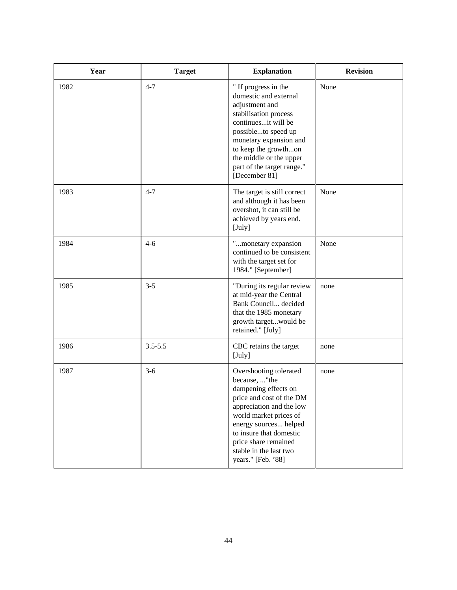| Year | <b>Target</b> | <b>Explanation</b>                                                                                                                                                                                                                                                            | <b>Revision</b> |
|------|---------------|-------------------------------------------------------------------------------------------------------------------------------------------------------------------------------------------------------------------------------------------------------------------------------|-----------------|
| 1982 | $4 - 7$       | " If progress in the<br>domestic and external<br>adjustment and<br>stabilisation process<br>continuesit will be<br>possibleto speed up<br>monetary expansion and<br>to keep the growthon<br>the middle or the upper<br>part of the target range."<br>[December 81]            | None            |
| 1983 | $4 - 7$       | The target is still correct<br>and although it has been<br>overshot, it can still be<br>achieved by years end.<br>[July]                                                                                                                                                      | None            |
| 1984 | $4 - 6$       | "monetary expansion<br>continued to be consistent<br>with the target set for<br>1984." [September]                                                                                                                                                                            | None            |
| 1985 | $3 - 5$       | "During its regular review<br>at mid-year the Central<br>Bank Council decided<br>that the 1985 monetary<br>growth targetwould be<br>retained." [July]                                                                                                                         | none            |
| 1986 | $3.5 - 5.5$   | CBC retains the target<br>[July]                                                                                                                                                                                                                                              | none            |
| 1987 | $3-6$         | Overshooting tolerated<br>because, "the<br>dampening effects on<br>price and cost of the DM<br>appreciation and the low<br>world market prices of<br>energy sources helped<br>to insure that domestic<br>price share remained<br>stable in the last two<br>years." [Feb. '88] | none            |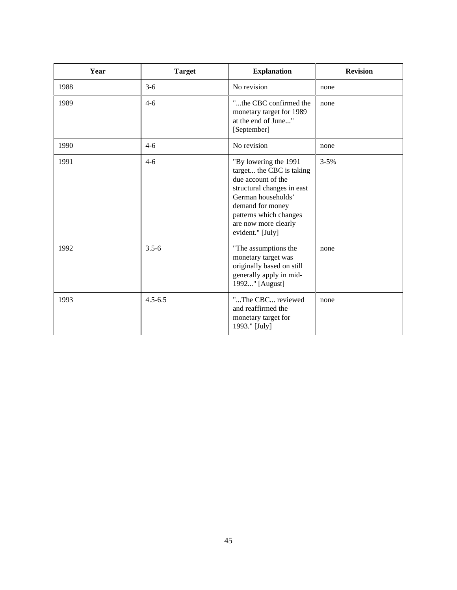| Year | <b>Target</b> | <b>Explanation</b>                                                                                                                                                                                                    | <b>Revision</b> |
|------|---------------|-----------------------------------------------------------------------------------------------------------------------------------------------------------------------------------------------------------------------|-----------------|
| 1988 | $3-6$         | No revision                                                                                                                                                                                                           | none            |
| 1989 | $4 - 6$       | "the CBC confirmed the<br>monetary target for 1989<br>at the end of June"<br>[September]                                                                                                                              | none            |
| 1990 | $4-6$         | No revision                                                                                                                                                                                                           | none            |
| 1991 | $4 - 6$       | "By lowering the 1991<br>target the CBC is taking<br>due account of the<br>structural changes in east<br>German households'<br>demand for money<br>patterns which changes<br>are now more clearly<br>evident." [July] | $3 - 5%$        |
| 1992 | $3.5 - 6$     | "The assumptions the<br>monetary target was<br>originally based on still<br>generally apply in mid-<br>1992" [August]                                                                                                 | none            |
| 1993 | $4.5 - 6.5$   | "The CBC reviewed<br>and reaffirmed the<br>monetary target for<br>1993." [July]                                                                                                                                       | none            |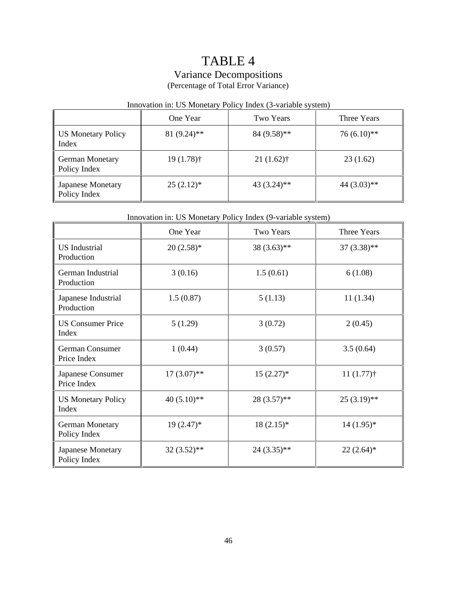## TABLE 4

## Variance Decompositions

(Percentage of Total Error Variance)

## Innovation in: US Monetary Policy Index (3-variable system)

|                                   | One Year       | Two Years     | Three Years   |
|-----------------------------------|----------------|---------------|---------------|
| US Monetary Policy<br>Index       | $81 (9.24)$ ** | $84(9.58)$ ** | $76(6.10)**$  |
| German Monetary<br>Policy Index   | $19(1.78)$ †   | $21(1.62)$ †  | 23(1.62)      |
| Japanese Monetary<br>Policy Index | $25(2.12)^*$   | $43(3.24)$ ** | $44(3.03)$ ** |

### Innovation in: US Monetary Policy Index (9-variable system)

|                                    | One Year       | Two Years     | Three Years   |
|------------------------------------|----------------|---------------|---------------|
| <b>US</b> Industrial<br>Production | $20(2.58)$ *   | $38(3.63)$ ** | $37(3.38)$ ** |
| German Industrial<br>Production    | 3(0.16)        | 1.5(0.61)     | 6(1.08)       |
| Japanese Industrial<br>Production  | 1.5(0.87)      | 5(1.13)       | 11(1.34)      |
| <b>US Consumer Price</b><br>Index  | 5(1.29)        | 3(0.72)       | 2(0.45)       |
| German Consumer<br>Price Index     | 1(0.44)        | 3(0.57)       | 3.5(0.64)     |
| Japanese Consumer<br>Price Index   | $17(3.07)$ **  | $15(2.27)$ *  | $11(1.77)$ †  |
| <b>US Monetary Policy</b><br>Index | 40 $(5.10)$ ** | $28(3.57)$ ** | $25(3.19)$ ** |
| German Monetary<br>Policy Index    | $19(2.47)^*$   | $18(2.15)^*$  | $14(1.95)*$   |
| Japanese Monetary<br>Policy Index  | 32 (3.52)**    | 24 (3.35)**   | $22(2.64)$ *  |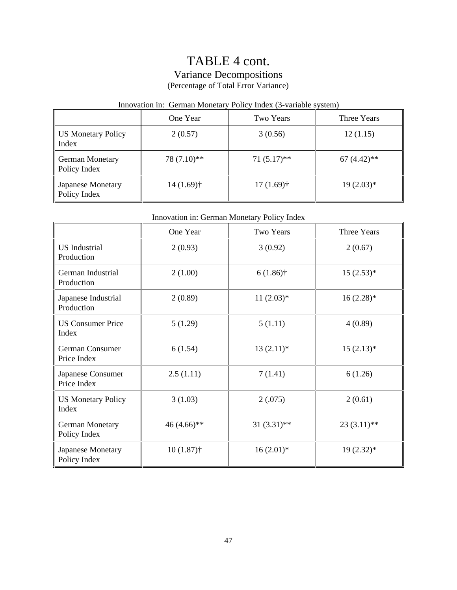## TABLE 4 cont. Variance Decompositions (Percentage of Total Error Variance)

### Innovation in: German Monetary Policy Index (3-variable system)

|                                   | One Year     | Two Years     | Three Years   |
|-----------------------------------|--------------|---------------|---------------|
| US Monetary Policy<br>Index       | 2(0.57)      | 3(0.56)       | 12(1.15)      |
| German Monetary<br>Policy Index   | 78 (7.10)**  | $71(5.17)$ ** | $67(4.42)$ ** |
| Japanese Monetary<br>Policy Index | $14(1.69)$ † | $17(1.69)$ †  | $19(2.03)*$   |

### Innovation in: German Monetary Policy Index

|                                        | One Year     | Two Years     | Three Years   |
|----------------------------------------|--------------|---------------|---------------|
| <b>US</b> Industrial<br>Production     | 2(0.93)      | 3(0.92)       | 2(0.67)       |
| German Industrial<br>Production        | 2(1.00)      | $6(1.86)$ †   | $15(2.53)*$   |
| Japanese Industrial<br>Production      | 2(0.89)      | $11(2.03)*$   | $16(2.28)$ *  |
| <b>US Consumer Price</b><br>Index      | 5(1.29)      | 5(1.11)       | 4(0.89)       |
| German Consumer<br>Price Index         | 6(1.54)      | $13(2.11)*$   | $15(2.13)*$   |
| Japanese Consumer<br>Price Index       | 2.5(1.11)    | 7(1.41)       | 6(1.26)       |
| <b>US Monetary Policy</b><br>Index     | 3(1.03)      | 2(.075)       | 2(0.61)       |
| <b>German Monetary</b><br>Policy Index | 46 (4.66)**  | $31(3.31)$ ** | $23(3.11)$ ** |
| Japanese Monetary<br>Policy Index      | $10(1.87)$ † | $16(2.01)$ *  | $19(2.32)^*$  |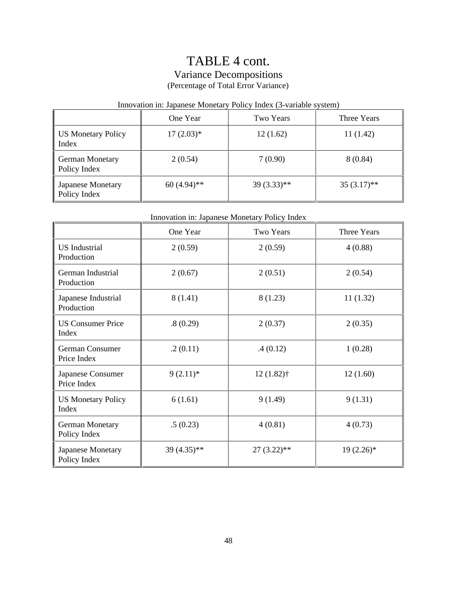## TABLE 4 cont. Variance Decompositions (Percentage of Total Error Variance)

## Innovation in: Japanese Monetary Policy Index (3-variable system)

|                                   | One Year      | Two Years     | Three Years   |
|-----------------------------------|---------------|---------------|---------------|
| US Monetary Policy<br>Index       | $17(2.03)*$   | 12(1.62)      | 11(1.42)      |
| German Monetary<br>Policy Index   | 2(0.54)       | 7(0.90)       | 8(0.84)       |
| Japanese Monetary<br>Policy Index | $60(4.94)$ ** | $39(3.33)$ ** | $35(3.17)$ ** |

### Innovation in: Japanese Monetary Policy Index

|                                    | One Year    | Two Years     | Three Years  |
|------------------------------------|-------------|---------------|--------------|
| <b>US</b> Industrial<br>Production | 2(0.59)     | 2(0.59)       | 4(0.88)      |
| German Industrial<br>Production    | 2(0.67)     | 2(0.51)       | 2(0.54)      |
| Japanese Industrial<br>Production  | 8(1.41)     | 8(1.23)       | 11(1.32)     |
| <b>US Consumer Price</b><br>Index  | .8(0.29)    | 2(0.37)       | 2(0.35)      |
| German Consumer<br>Price Index     | .2(0.11)    | .4(0.12)      | 1(0.28)      |
| Japanese Consumer<br>Price Index   | $9(2.11)*$  | $12(1.82)$ †  | 12(1.60)     |
| <b>US Monetary Policy</b><br>Index | 6(1.61)     | 9(1.49)       | 9(1.31)      |
| German Monetary<br>Policy Index    | .5(0.23)    | 4(0.81)       | 4(0.73)      |
| Japanese Monetary<br>Policy Index  | 39 (4.35)** | $27(3.22)$ ** | $19(2.26)$ * |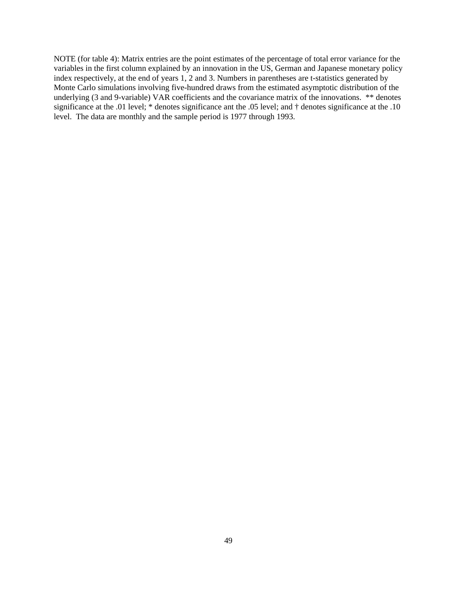NOTE (for table 4): Matrix entries are the point estimates of the percentage of total error variance for the variables in the first column explained by an innovation in the US, German and Japanese monetary policy index respectively, at the end of years 1, 2 and 3. Numbers in parentheses are t-statistics generated by Monte Carlo simulations involving five-hundred draws from the estimated asymptotic distribution of the underlying (3 and 9-variable) VAR coefficients and the covariance matrix of the innovations. \*\* denotes significance at the .01 level; \* denotes significance ant the .05 level; and † denotes significance at the .10 level. The data are monthly and the sample period is 1977 through 1993.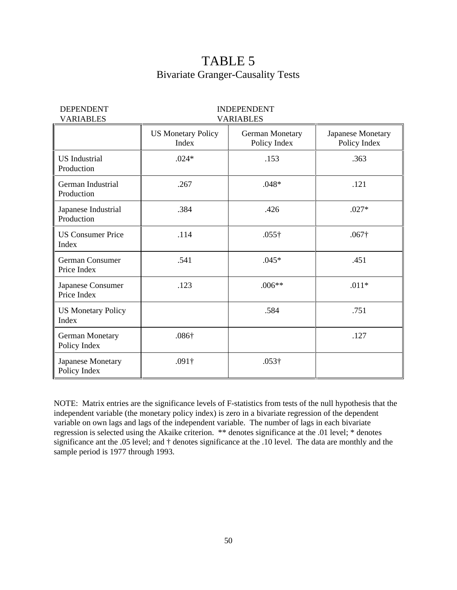## TABLE 5 Bivariate Granger-Causality Tests

| <b>DEPENDENT</b><br><b>VARIABLES</b>   |                                    | <b>INDEPENDENT</b><br><b>VARIABLES</b> |                                   |
|----------------------------------------|------------------------------------|----------------------------------------|-----------------------------------|
|                                        | <b>US Monetary Policy</b><br>Index | <b>German Monetary</b><br>Policy Index | Japanese Monetary<br>Policy Index |
| <b>US</b> Industrial<br>Production     | $.024*$                            | .153                                   | .363                              |
| German Industrial<br>Production        | .267                               | $.048*$                                | .121                              |
| Japanese Industrial<br>Production      | .384                               | .426                                   | $.027*$                           |
| <b>US Consumer Price</b><br>Index      | .114                               | $.055\dagger$                          | $.067\dagger$                     |
| German Consumer<br>Price Index         | .541                               | $.045*$                                | .451                              |
| Japanese Consumer<br>Price Index       | .123                               | $.006**$                               | $.011*$                           |
| <b>US Monetary Policy</b><br>Index     |                                    | .584                                   | .751                              |
| <b>German Monetary</b><br>Policy Index | $.086\dagger$                      |                                        | .127                              |
| Japanese Monetary<br>Policy Index      | $.091\dagger$                      | $.053\dagger$                          |                                   |

NOTE: Matrix entries are the significance levels of F-statistics from tests of the null hypothesis that the independent variable (the monetary policy index) is zero in a bivariate regression of the dependent variable on own lags and lags of the independent variable. The number of lags in each bivariate regression is selected using the Akaike criterion. \*\* denotes significance at the .01 level; \* denotes significance ant the .05 level; and † denotes significance at the .10 level. The data are monthly and the sample period is 1977 through 1993.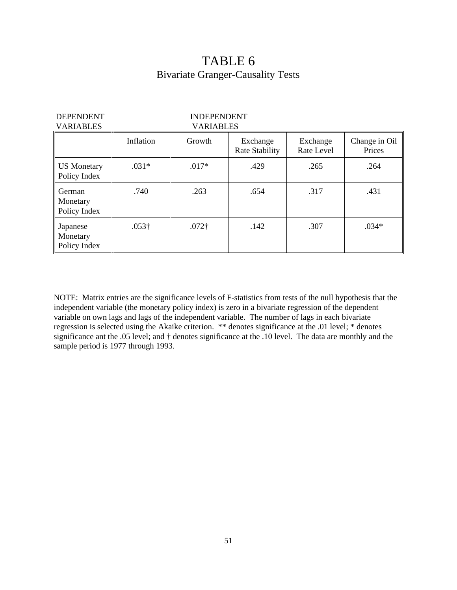## TABLE 6 Bivariate Granger-Causality Tests

| <b>DEPENDENT</b><br><b>VARIABLES</b> | <b>INDEPENDENT</b><br><b>VARIABLES</b> |               |                            |                        |                         |
|--------------------------------------|----------------------------------------|---------------|----------------------------|------------------------|-------------------------|
|                                      | Inflation                              | Growth        | Exchange<br>Rate Stability | Exchange<br>Rate Level | Change in Oil<br>Prices |
| <b>US</b> Monetary<br>Policy Index   | $.031*$                                | $.017*$       | .429                       | .265                   | .264                    |
| German<br>Monetary<br>Policy Index   | .740                                   | .263          | .654                       | .317                   | .431                    |
| Japanese<br>Monetary<br>Policy Index | $.053\dagger$                          | $.072\dagger$ | .142                       | .307                   | $.034*$                 |

NOTE: Matrix entries are the significance levels of F-statistics from tests of the null hypothesis that the independent variable (the monetary policy index) is zero in a bivariate regression of the dependent variable on own lags and lags of the independent variable. The number of lags in each bivariate regression is selected using the Akaike criterion. \*\* denotes significance at the .01 level; \* denotes significance ant the .05 level; and † denotes significance at the .10 level. The data are monthly and the sample period is 1977 through 1993.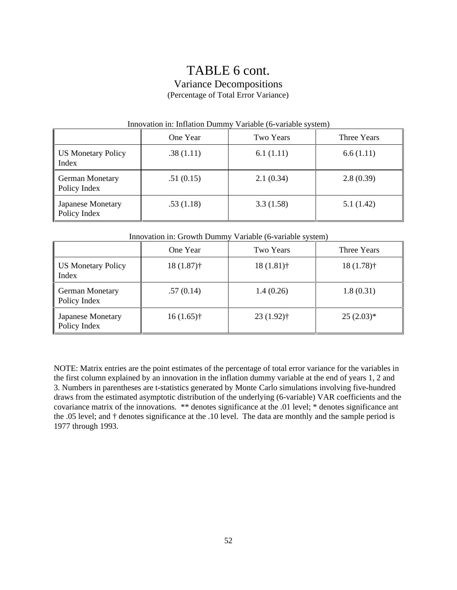## TABLE 6 cont. Variance Decompositions (Percentage of Total Error Variance)

| Innovation in: Inflation Dummy Variable (6-variable system) |           |                  |             |
|-------------------------------------------------------------|-----------|------------------|-------------|
|                                                             | One Year  | <b>Two Years</b> | Three Years |
| <b>US Monetary Policy</b><br>Index                          | .38(1.11) | 6.1(1.11)        | 6.6(1.11)   |
| <b>German Monetary</b><br>Policy Index                      | .51(0.15) | 2.1(0.34)        | 2.8(0.39)   |
| Japanese Monetary<br>Policy Index                           | .53(1.18) | 3.3(1.58)        | 5.1(1.42)   |

#### Innovation in: Inflation Dummy Variable (6-variable system)

|                                   | One Year     | Two Years    | Three Years  |
|-----------------------------------|--------------|--------------|--------------|
| US Monetary Policy<br>Index       | $18(1.87)$ † | $18(1.81)$ † | $18(1.78)$ † |
| German Monetary<br>Policy Index   | .57(0.14)    | 1.4(0.26)    | 1.8(0.31)    |
| Japanese Monetary<br>Policy Index | $16(1.65)$ † | $23(1.92)$ † | $25(2.03)*$  |

NOTE: Matrix entries are the point estimates of the percentage of total error variance for the variables in the first column explained by an innovation in the inflation dummy variable at the end of years 1, 2 and 3. Numbers in parentheses are t-statistics generated by Monte Carlo simulations involving five-hundred draws from the estimated asymptotic distribution of the underlying (6-variable) VAR coefficients and the covariance matrix of the innovations. \*\* denotes significance at the .01 level; \* denotes significance ant the .05 level; and † denotes significance at the .10 level. The data are monthly and the sample period is 1977 through 1993.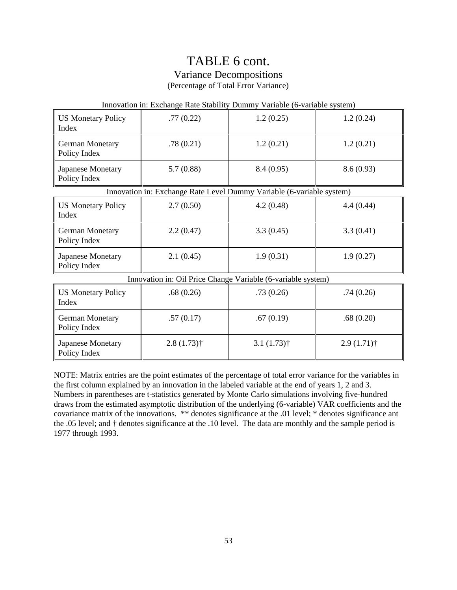# TABLE 6 cont.

Variance Decompositions

(Percentage of Total Error Variance)

| Innovation in: Exchange Rate Stability Dummy Variable (6-variable system) |               |               |               |
|---------------------------------------------------------------------------|---------------|---------------|---------------|
| <b>US Monetary Policy</b><br>Index                                        | .77(0.22)     | 1.2(0.25)     | 1.2(0.24)     |
| <b>German Monetary</b><br>Policy Index                                    | .78(0.21)     | 1.2(0.21)     | 1.2(0.21)     |
| Japanese Monetary<br>Policy Index                                         | 5.7(0.88)     | 8.4(0.95)     | 8.6(0.93)     |
| Innovation in: Exchange Rate Level Dummy Variable (6-variable system)     |               |               |               |
| <b>US Monetary Policy</b><br>Index                                        | 2.7(0.50)     | 4.2(0.48)     | 4.4(0.44)     |
| <b>German Monetary</b><br>Policy Index                                    | 2.2(0.47)     | 3.3(0.45)     | 3.3(0.41)     |
| Japanese Monetary<br>Policy Index                                         | 2.1(0.45)     | 1.9(0.31)     | 1.9(0.27)     |
| Innovation in: Oil Price Change Variable (6-variable system)              |               |               |               |
| <b>US Monetary Policy</b><br>Index                                        | .68(0.26)     | .73(0.26)     | .74(0.26)     |
| German Monetary<br>Policy Index                                           | .57(0.17)     | .67(0.19)     | .68(0.20)     |
| Japanese Monetary<br>Policy Index                                         | $2.8(1.73)$ † | $3.1(1.73)$ † | $2.9(1.71)$ † |

NOTE: Matrix entries are the point estimates of the percentage of total error variance for the variables in the first column explained by an innovation in the labeled variable at the end of years 1, 2 and 3. Numbers in parentheses are t-statistics generated by Monte Carlo simulations involving five-hundred draws from the estimated asymptotic distribution of the underlying (6-variable) VAR coefficients and the covariance matrix of the innovations. \*\* denotes significance at the .01 level; \* denotes significance ant the .05 level; and † denotes significance at the .10 level. The data are monthly and the sample period is 1977 through 1993.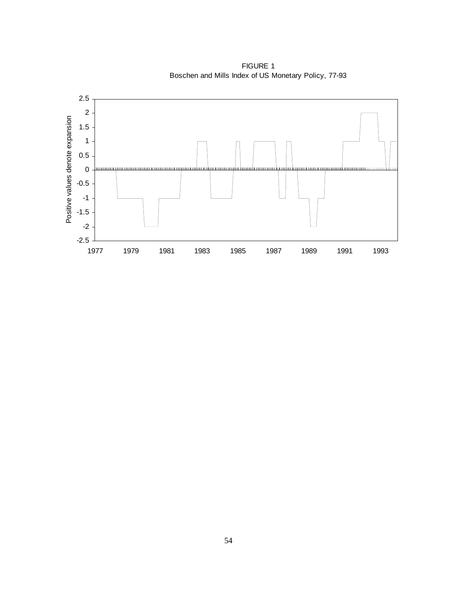

FIGURE 1 Boschen and Mills Index of US Monetary Policy, 77-93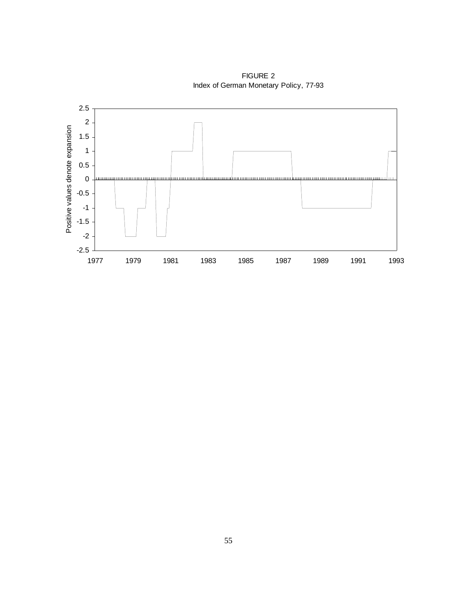

1977 1979 1981 1983 1985 1987 1989 1991 1993

-2.5

FIGURE 2 Index of German Monetary Policy, 77-93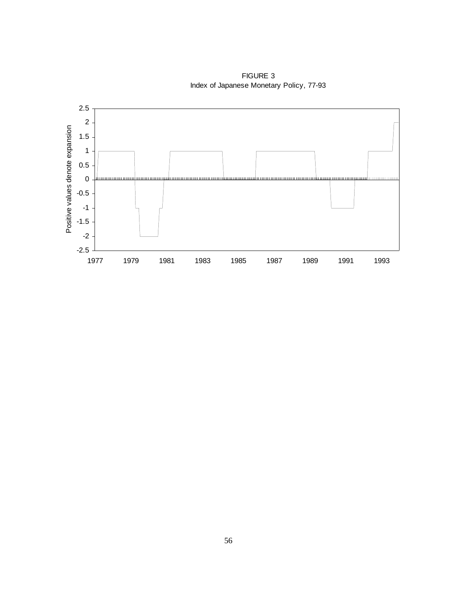

FIGURE 3 Index of Japanese Monetary Policy, 77-93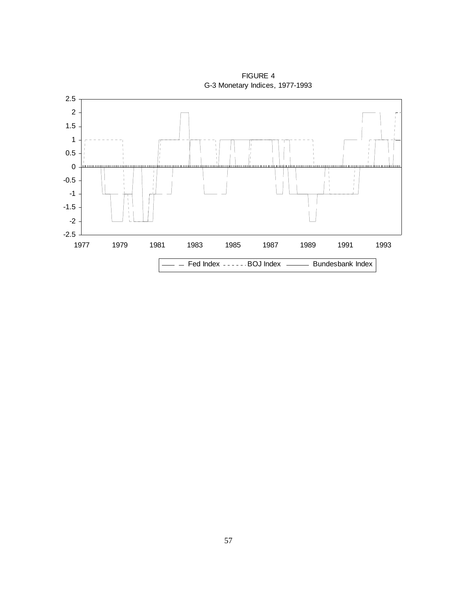

FIGURE 4 G-3 Monetary Indices, 1977-1993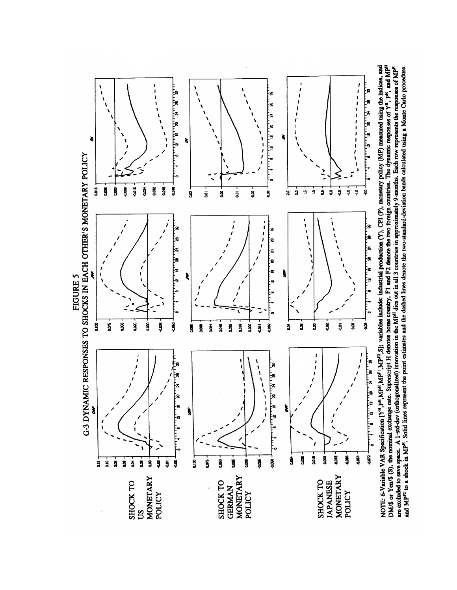

DM/\$ or Yea/\$ (3), the nominal exchange rate. Superscript H denotes home country, F1 and F2 denote the two foreign countries. The dynamic responses of  $Y^H$ ,  $P^H$ , and  $MP^H$ NOTE: 6-Variable VAR Specification [Y<sup>H</sup>, P<sup>H</sup>, MP<sup>H</sup>, MP<sup>H</sup>, MP<sup>P</sup>, S]; variables include: industrial production (Y), CPI (P), monetary policy (MP) measured using the indices, and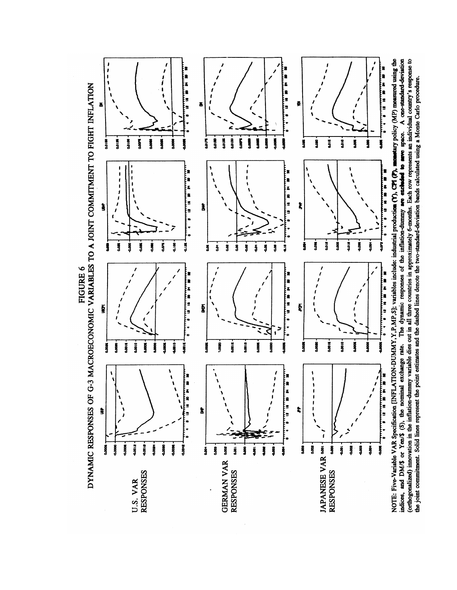

FIGURE 6

NOTE: Five-Variable VAR Specification [INFLATION-DUMMY, Y, P, MP, S]; variables include: industrial production (Y), CPI (P), mometary policy (MP) measured using the indices, and DM/\$ or Yen/\$ (S), the nominal exchange rate. The dynamic responses of the inflation-dummy are excluded to are space. A one-standard-deviation (orthogonalized) innovation in the inflation-dummy variable dies out in all three countries in approximately 6-months. Each row represents an individual country's response to the joint commitment. Solid lines represent the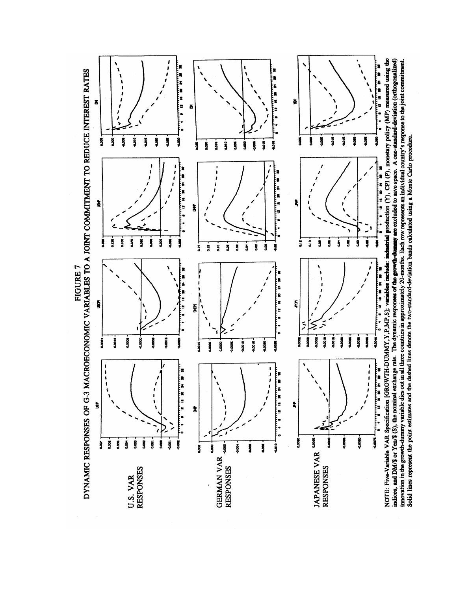E×<br>E× 【# 編 編 編 墨 豊 ă Ş å ă Ŋ ă Į ğ ğ š Į  $rac{6}{3}$  $\ddot{a}$  $\frac{9}{3}$ å š ğ Į 'n  $\frac{1}{1}$ E<br>Ea ï į. Ì ŧ à į. ġ  $rac{8}{4}$ Š  $\frac{8}{4}$ Ķ Ĵ Į ġ ă  $\frac{6}{5}$ å g ğ ā ġ  $\frac{1}{a}$ å ន្ទ ż ą å ទ្ទ å Ex<br>Ex 「神社の神社」 'n t, a<br>!! ğ ğ ğ Ŋ ė Į. 彡 ≋ **Sioc** Î **Date Signa** ğ ă  $\ddot{\tilde{s}}$ Ş j age+ 0.0010 0.0010 š **Date**  $\sqrt{2}$  $\begin{array}{c} 1 \\ 1 \\ 1 \\ 1 \end{array}$ ES  $\frac{1}{3}$  $\begin{array}{c} 1 \\ 1 \\ 1 \\ 1 \end{array}$ š È, å ŝ **Root** 0.000 JAPANESE VAR \*\*\*  $\dot{g}$  $\dot{g}$  $\ddot{\mathbf{g}}$  $\ddot{\mathbf{g}}$  $\ddot{g}$  $\ddot{a}$  $\overline{\mathbf{S}}$  $\overline{\mathbf{S}}$ ġ ğ .<br>§ Ş ş ł ş ğ ğ **GERMAN VAR RESPONSES RESPONSES RESPONSES** U.S. VAR

DYNAMIC RESPONSES OF G-3 MACROECONOMIC VARIABLES TO A JOINT COMMITMENT TO REDUCE INTEREST RATES **FIGURE 7** 

NOTE: Five-Variable VAR Specification [GROWTH-DUMMY, Y, P, MP, S]; variables include: industrial production (Y), CPI (P), monetary policy (MP) measured using the indices, and DM/\$ or Yen/\$ (S), the nominal exchange rate. The dynamic responses of the growth-dumany are excluded to save space. A one-standard-deviation (orthogonalized) imovation in the growth-dummy variable dies out in all three countries in approximately 20-months. Each row represents an individual country's response to the joint commitment.<br>Solid lines represent the point estimates and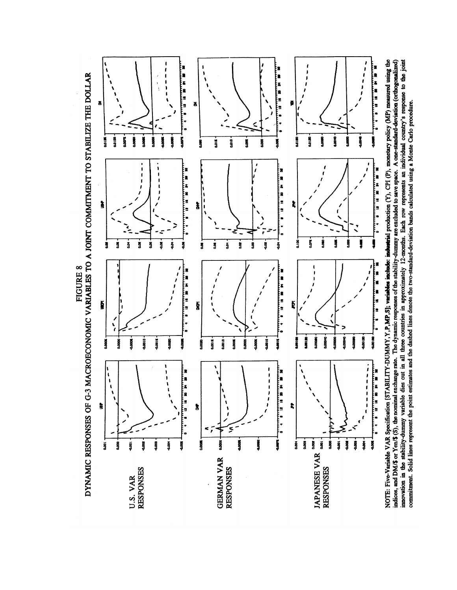DYNAMIC RESPONSES OF G-3 MACROECONOMIC VARIABLES TO A JOINT COMMITMENT TO STABILIZE THE DOLLAR FIGURE 8



indices, and DM/\$ or Yen/\$ (3), the nominal exchange rate. The dynamic responses of the stability-dummy are excluded to save space. A one-standard-deviation (orthogonalized) imovation in the stability-dummy variable dies o NOTE: Five-Variable VAR Specification [STABILITY-DUMMY, Y, P, MP, S]; variables include: industing production (Y), CPI (P), monetary policy (MP) measured using the